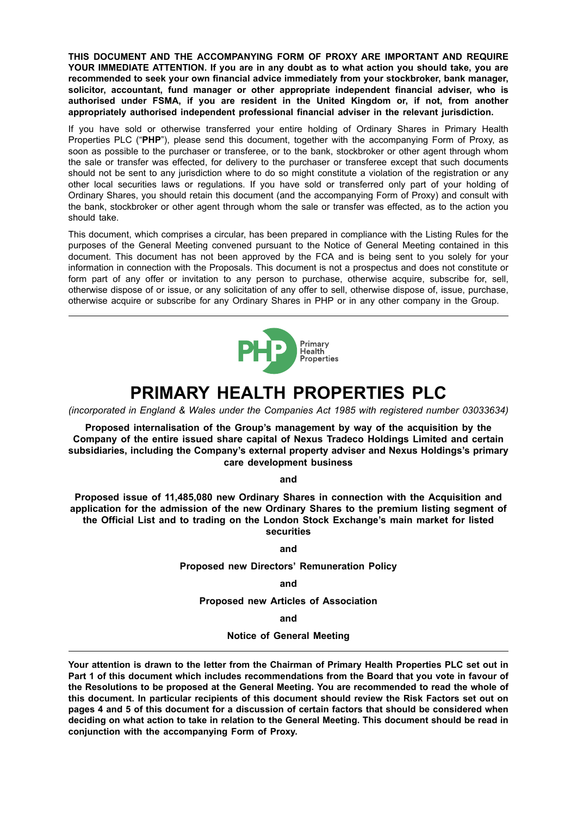**THIS DOCUMENT AND THE ACCOMPANYING FORM OF PROXY ARE IMPORTANT AND REQUIRE YOUR IMMEDIATE ATTENTION. If you are in any doubt as to what action you should take, you are recommended to seek your own financial advice immediately from your stockbroker, bank manager, solicitor, accountant, fund manager or other appropriate independent financial adviser, who is authorised under FSMA, if you are resident in the United Kingdom or, if not, from another appropriately authorised independent professional financial adviser in the relevant jurisdiction.**

If you have sold or otherwise transferred your entire holding of Ordinary Shares in Primary Health Properties PLC ("**PHP**"), please send this document, together with the accompanying Form of Proxy, as soon as possible to the purchaser or transferee, or to the bank, stockbroker or other agent through whom the sale or transfer was effected, for delivery to the purchaser or transferee except that such documents should not be sent to any jurisdiction where to do so might constitute a violation of the registration or any other local securities laws or regulations. If you have sold or transferred only part of your holding of Ordinary Shares, you should retain this document (and the accompanying Form of Proxy) and consult with the bank, stockbroker or other agent through whom the sale or transfer was effected, as to the action you should take.

This document, which comprises a circular, has been prepared in compliance with the Listing Rules for the purposes of the General Meeting convened pursuant to the Notice of General Meeting contained in this document. This document has not been approved by the FCA and is being sent to you solely for your information in connection with the Proposals. This document is not a prospectus and does not constitute or form part of any offer or invitation to any person to purchase, otherwise acquire, subscribe for, sell, otherwise dispose of or issue, or any solicitation of any offer to sell, otherwise dispose of, issue, purchase, otherwise acquire or subscribe for any Ordinary Shares in PHP or in any other company in the Group.



# **PRIMARY HEALTH PROPERTIES PLC**

*(incorporated in England & Wales under the Companies Act 1985 with registered number 03033634)*

**Proposed internalisation of the Group's management by way of the acquisition by the Company of the entire issued share capital of Nexus Tradeco Holdings Limited and certain subsidiaries, including the Company's external property adviser and Nexus Holdings's primary care development business**

**and**

**Proposed issue of 11,485,080 new Ordinary Shares in connection with the Acquisition and application for the admission of the new Ordinary Shares to the premium listing segment of the Official List and to trading on the London Stock Exchange's main market for listed securities**

**and**

**Proposed new Directors' Remuneration Policy**

**and**

**Proposed new Articles of Association**

**and**

**Notice of General Meeting**

Your attention is drawn to the letter from the Chairman of Primary Health Properties PLC set out in **Part 1 of this document which includes recommendations from the Board that you vote in favour of the Resolutions to be proposed at the General Meeting. You are recommended to read the whole of this document. In particular recipients of this document should review the Risk Factors set out on pages 4 and 5 of this document for a discussion of certain factors that should be considered when** deciding on what action to take in relation to the General Meeting. This document should be read in **conjunction with the accompanying Form of Proxy.**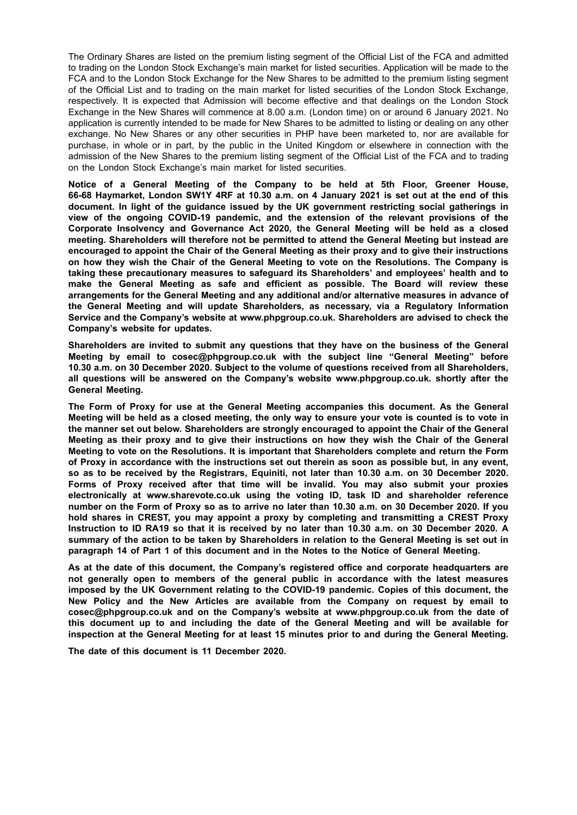The Ordinary Shares are listed on the premium listing segment of the Official List of the FCA and admitted to trading on the London Stock Exchange's main market for listed securities. Application will be made to the FCA and to the London Stock Exchange for the New Shares to be admitted to the premium listing segment of the Official List and to trading on the main market for listed securities of the London Stock Exchange, respectively. It is expected that Admission will become effective and that dealings on the London Stock Exchange in the New Shares will commence at 8.00 a.m. (London time) on or around 6 January 2021. No application is currently intended to be made for New Shares to be admitted to listing or dealing on any other exchange. No New Shares or any other securities in PHP have been marketed to, nor are available for purchase, in whole or in part, by the public in the United Kingdom or elsewhere in connection with the admission of the New Shares to the premium listing segment of the Official List of the FCA and to trading on the London Stock Exchange's main market for listed securities.

**Notice of a General Meeting of the Company to be held at 5th Floor, Greener House,** 66-68 Haymarket, London SW1Y 4RF at 10.30 a.m. on 4 January 2021 is set out at the end of this **document. In light of the guidance issued by the UK government restricting social gatherings in view of the ongoing COVID-19 pandemic, and the extension of the relevant provisions of the Corporate Insolvency and Governance Act 2020, the General Meeting will be held as a closed meeting. Shareholders will therefore not be permitted to attend the General Meeting but instead are encouraged to appoint the Chair of the General Meeting as their proxy and to give their instructions on how they wish the Chair of the General Meeting to vote on the Resolutions. The Company is taking these precautionary measures to safeguard its Shareholders' and employees' health and to make the General Meeting as safe and efficient as possible. The Board will review these arrangements for the General Meeting and any additional and/or alternative measures in advance of the General Meeting and will update Shareholders, as necessary, via a Regulatory Information Service and the Company's website at www.phpgroup.co.uk. Shareholders are advised to check the Company's website for updates.**

**Shareholders are invited to submit any questions that they have on the business of the General Meeting by email to cosec@phpgroup.co.uk with the subject line "General Meeting" before 10.30 a.m. on 30 December 2020. Subject to the volume of questions received from all Shareholders, all questions will be answered on the Company's website www.phpgroup.co.uk. shortly after the General Meeting.**

**The Form of Proxy for use at the General Meeting accompanies this document. As the General** Meeting will be held as a closed meeting, the only way to ensure your vote is counted is to vote in **the manner set out below. Shareholders are strongly encouraged to appoint the Chair of the General Meeting as their proxy and to give their instructions on how they wish the Chair of the General Meeting to vote on the Resolutions. It is important that Shareholders complete and return the Form** of Proxy in accordance with the instructions set out therein as soon as possible but, in any event. **so as to be received by the Registrars, Equiniti, not later than 10.30 a.m. on 30 December 2020. Forms of Proxy received after that time will be invalid. You may also submit your proxies electronically at www.sharevote.co.uk using the voting ID, task ID and shareholder reference** number on the Form of Proxy so as to arrive no later than 10.30 a.m. on 30 December 2020. If you **hold shares in CREST, you may appoint a proxy by completing and transmitting a CREST Proxy** Instruction to ID RA19 so that it is received by no later than 10.30 a.m. on 30 December 2020. A summary of the action to be taken by Shareholders in relation to the General Meeting is set out in **paragraph 14 of Part 1 of this document and in the Notes to the Notice of General Meeting.**

**As at the date of this document, the Company's registered office and corporate headquarters are not generally open to members of the general public in accordance with the latest measures imposed by the UK Government relating to the COVID-19 pandemic. Copies of this document, the New Policy and the New Articles are available from the Company on request by email to cosec@phpgroup.co.uk and on the Company's website at www.phpgroup.co.uk from the date of this document up to and including the date of the General Meeting and will be available for inspection at the General Meeting for at least 15 minutes prior to and during the General Meeting.**

**The date of this document is 11 December 2020.**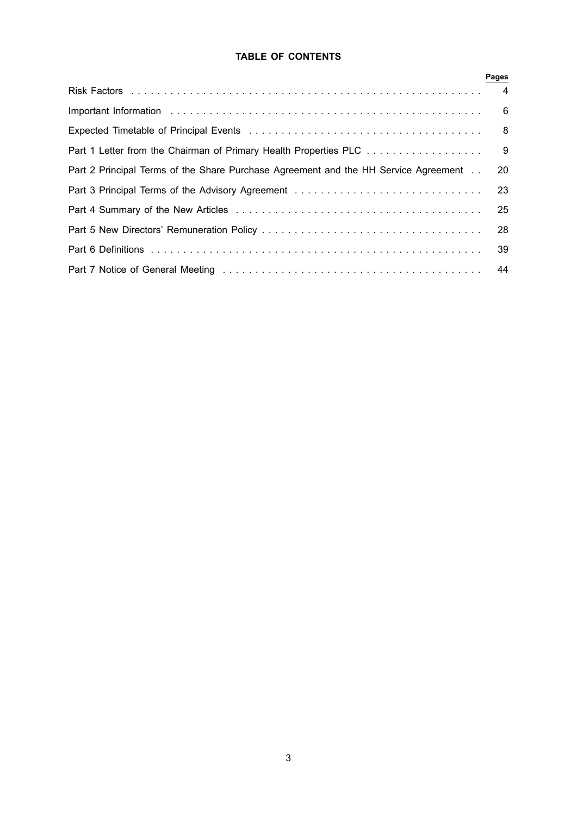# **TABLE OF CONTENTS**

|                                                                                     | Pages |
|-------------------------------------------------------------------------------------|-------|
|                                                                                     |       |
|                                                                                     |       |
|                                                                                     |       |
| Part 1 Letter from the Chairman of Primary Health Properties PLC 9                  |       |
| Part 2 Principal Terms of the Share Purchase Agreement and the HH Service Agreement | 20    |
| Part 3 Principal Terms of the Advisory Agreement                                    | 23    |
|                                                                                     |       |
|                                                                                     | 28    |
|                                                                                     | -39   |
|                                                                                     |       |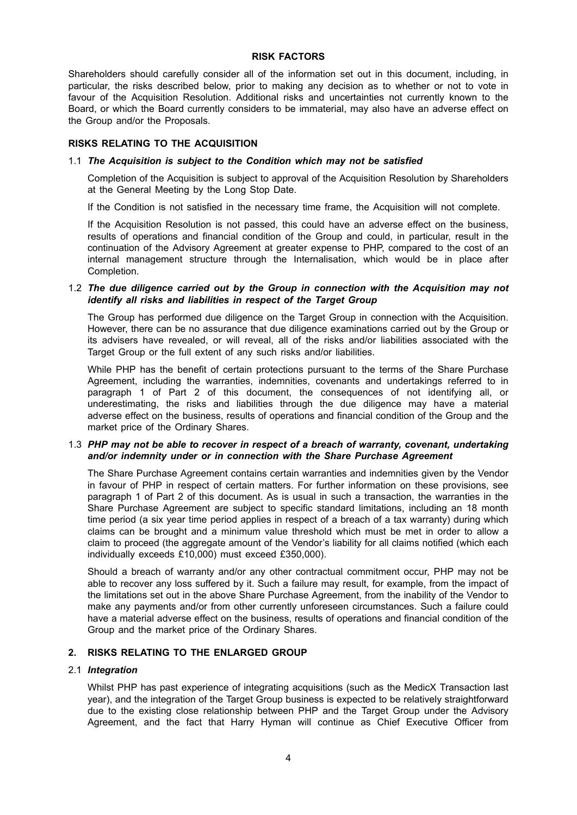#### **RISK FACTORS**

Shareholders should carefully consider all of the information set out in this document, including, in particular, the risks described below, prior to making any decision as to whether or not to vote in favour of the Acquisition Resolution. Additional risks and uncertainties not currently known to the Board, or which the Board currently considers to be immaterial, may also have an adverse effect on the Group and/or the Proposals.

#### **RISKS RELATING TO THE ACQUISITION**

#### 1.1 *The Acquisition is subject to the Condition which may not be satisfied*

Completion of the Acquisition is subject to approval of the Acquisition Resolution by Shareholders at the General Meeting by the Long Stop Date.

If the Condition is not satisfied in the necessary time frame, the Acquisition will not complete.

If the Acquisition Resolution is not passed, this could have an adverse effect on the business, results of operations and financial condition of the Group and could, in particular, result in the continuation of the Advisory Agreement at greater expense to PHP, compared to the cost of an internal management structure through the Internalisation, which would be in place after Completion.

#### 1.2 *The due diligence carried out by the Group in connection with the Acquisition may not identify all risks and liabilities in respect of the Target Group*

The Group has performed due diligence on the Target Group in connection with the Acquisition. However, there can be no assurance that due diligence examinations carried out by the Group or its advisers have revealed, or will reveal, all of the risks and/or liabilities associated with the Target Group or the full extent of any such risks and/or liabilities.

While PHP has the benefit of certain protections pursuant to the terms of the Share Purchase Agreement, including the warranties, indemnities, covenants and undertakings referred to in paragraph 1 of Part 2 of this document, the consequences of not identifying all, or underestimating, the risks and liabilities through the due diligence may have a material adverse effect on the business, results of operations and financial condition of the Group and the market price of the Ordinary Shares.

#### 1.3 *PHP may not be able to recover in respect of a breach of warranty, covenant, undertaking and/or indemnity under or in connection with the Share Purchase Agreement*

The Share Purchase Agreement contains certain warranties and indemnities given by the Vendor in favour of PHP in respect of certain matters. For further information on these provisions, see paragraph 1 of Part 2 of this document. As is usual in such a transaction, the warranties in the Share Purchase Agreement are subject to specific standard limitations, including an 18 month time period (a six year time period applies in respect of a breach of a tax warranty) during which claims can be brought and a minimum value threshold which must be met in order to allow a claim to proceed (the aggregate amount of the Vendor's liability for all claims notified (which each individually exceeds £10,000) must exceed £350,000).

Should a breach of warranty and/or any other contractual commitment occur, PHP may not be able to recover any loss suffered by it. Such a failure may result, for example, from the impact of the limitations set out in the above Share Purchase Agreement, from the inability of the Vendor to make any payments and/or from other currently unforeseen circumstances. Such a failure could have a material adverse effect on the business, results of operations and financial condition of the Group and the market price of the Ordinary Shares.

#### **2. RISKS RELATING TO THE ENLARGED GROUP**

#### 2.1 *Integration*

Whilst PHP has past experience of integrating acquisitions (such as the MedicX Transaction last year), and the integration of the Target Group business is expected to be relatively straightforward due to the existing close relationship between PHP and the Target Group under the Advisory Agreement, and the fact that Harry Hyman will continue as Chief Executive Officer from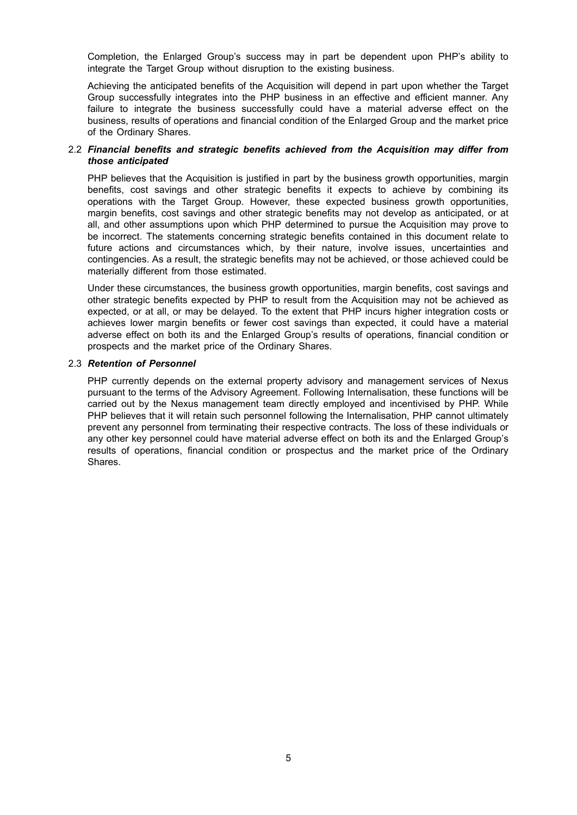Completion, the Enlarged Group's success may in part be dependent upon PHP's ability to integrate the Target Group without disruption to the existing business.

Achieving the anticipated benefits of the Acquisition will depend in part upon whether the Target Group successfully integrates into the PHP business in an effective and efficient manner. Any failure to integrate the business successfully could have a material adverse effect on the business, results of operations and financial condition of the Enlarged Group and the market price of the Ordinary Shares.

#### 2.2 *Financial benefits and strategic benefits achieved from the Acquisition may differ from those anticipated*

PHP believes that the Acquisition is justified in part by the business growth opportunities, margin benefits, cost savings and other strategic benefits it expects to achieve by combining its operations with the Target Group. However, these expected business growth opportunities, margin benefits, cost savings and other strategic benefits may not develop as anticipated, or at all, and other assumptions upon which PHP determined to pursue the Acquisition may prove to be incorrect. The statements concerning strategic benefits contained in this document relate to future actions and circumstances which, by their nature, involve issues, uncertainties and contingencies. As a result, the strategic benefits may not be achieved, or those achieved could be materially different from those estimated.

Under these circumstances, the business growth opportunities, margin benefits, cost savings and other strategic benefits expected by PHP to result from the Acquisition may not be achieved as expected, or at all, or may be delayed. To the extent that PHP incurs higher integration costs or achieves lower margin benefits or fewer cost savings than expected, it could have a material adverse effect on both its and the Enlarged Group's results of operations, financial condition or prospects and the market price of the Ordinary Shares.

#### 2.3 *Retention of Personnel*

PHP currently depends on the external property advisory and management services of Nexus pursuant to the terms of the Advisory Agreement. Following Internalisation, these functions will be carried out by the Nexus management team directly employed and incentivised by PHP. While PHP believes that it will retain such personnel following the Internalisation, PHP cannot ultimately prevent any personnel from terminating their respective contracts. The loss of these individuals or any other key personnel could have material adverse effect on both its and the Enlarged Group's results of operations, financial condition or prospectus and the market price of the Ordinary Shares.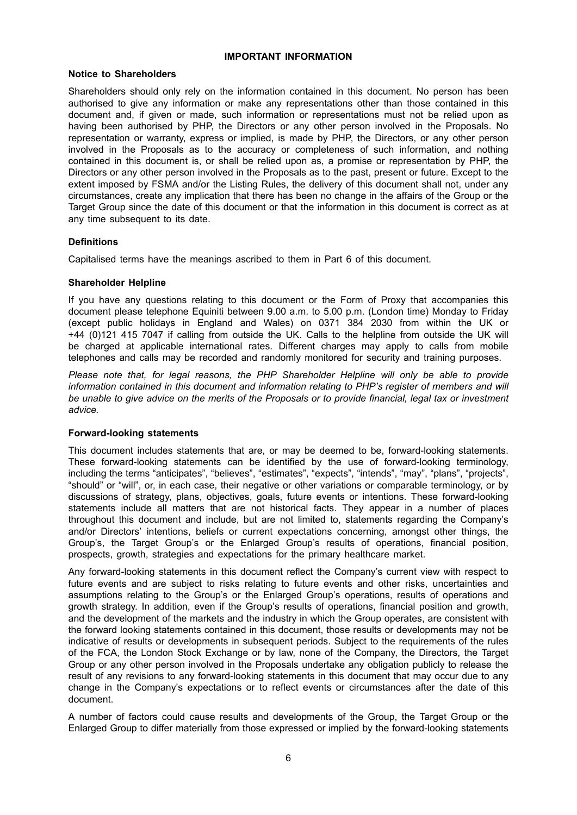#### **IMPORTANT INFORMATION**

#### **Notice to Shareholders**

Shareholders should only rely on the information contained in this document. No person has been authorised to give any information or make any representations other than those contained in this document and, if given or made, such information or representations must not be relied upon as having been authorised by PHP, the Directors or any other person involved in the Proposals. No representation or warranty, express or implied, is made by PHP, the Directors, or any other person involved in the Proposals as to the accuracy or completeness of such information, and nothing contained in this document is, or shall be relied upon as, a promise or representation by PHP, the Directors or any other person involved in the Proposals as to the past, present or future. Except to the extent imposed by FSMA and/or the Listing Rules, the delivery of this document shall not, under any circumstances, create any implication that there has been no change in the affairs of the Group or the Target Group since the date of this document or that the information in this document is correct as at any time subsequent to its date.

#### **Definitions**

Capitalised terms have the meanings ascribed to them in Part 6 of this document.

#### **Shareholder Helpline**

If you have any questions relating to this document or the Form of Proxy that accompanies this document please telephone Equiniti between 9.00 a.m. to 5.00 p.m. (London time) Monday to Friday (except public holidays in England and Wales) on 0371 384 2030 from within the UK or +44 (0)121 415 7047 if calling from outside the UK. Calls to the helpline from outside the UK will be charged at applicable international rates. Different charges may apply to calls from mobile telephones and calls may be recorded and randomly monitored for security and training purposes.

*Please note that, for legal reasons, the PHP Shareholder Helpline will only be able to provide information contained in this document and information relating to PHP's register of members and will* be unable to give advice on the merits of the Proposals or to provide financial. legal tax or investment *advice.*

#### **Forward-looking statements**

This document includes statements that are, or may be deemed to be, forward-looking statements. These forward-looking statements can be identified by the use of forward-looking terminology, including the terms "anticipates", "believes", "estimates", "expects", "intends", "may", "plans", "projects", "should" or "will", or, in each case, their negative or other variations or comparable terminology, or by discussions of strategy, plans, objectives, goals, future events or intentions. These forward-looking statements include all matters that are not historical facts. They appear in a number of places throughout this document and include, but are not limited to, statements regarding the Company's and/or Directors' intentions, beliefs or current expectations concerning, amongst other things, the Group's, the Target Group's or the Enlarged Group's results of operations, financial position, prospects, growth, strategies and expectations for the primary healthcare market.

Any forward-looking statements in this document reflect the Company's current view with respect to future events and are subject to risks relating to future events and other risks, uncertainties and assumptions relating to the Group's or the Enlarged Group's operations, results of operations and growth strategy. In addition, even if the Group's results of operations, financial position and growth, and the development of the markets and the industry in which the Group operates, are consistent with the forward looking statements contained in this document, those results or developments may not be indicative of results or developments in subsequent periods. Subject to the requirements of the rules of the FCA, the London Stock Exchange or by law, none of the Company, the Directors, the Target Group or any other person involved in the Proposals undertake any obligation publicly to release the result of any revisions to any forward-looking statements in this document that may occur due to any change in the Company's expectations or to reflect events or circumstances after the date of this document.

A number of factors could cause results and developments of the Group, the Target Group or the Enlarged Group to differ materially from those expressed or implied by the forward-looking statements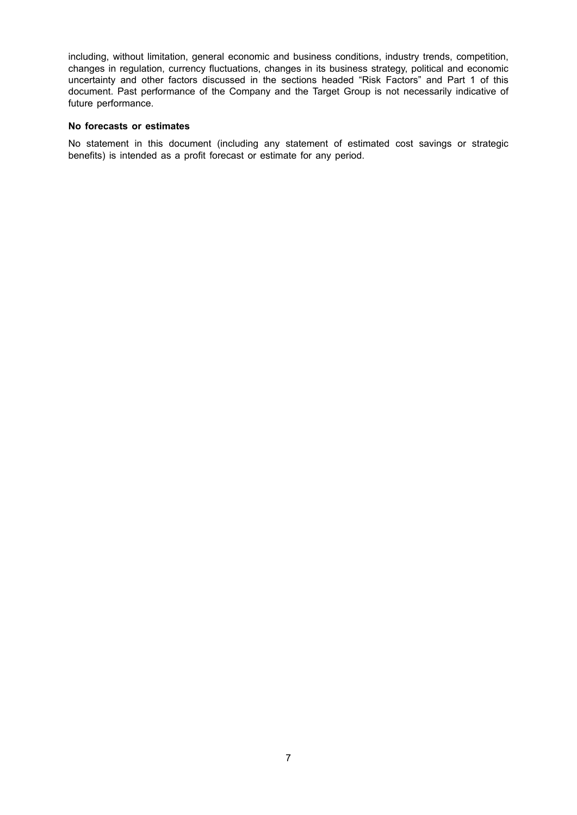including, without limitation, general economic and business conditions, industry trends, competition, changes in regulation, currency fluctuations, changes in its business strategy, political and economic uncertainty and other factors discussed in the sections headed "Risk Factors" and Part 1 of this document. Past performance of the Company and the Target Group is not necessarily indicative of future performance.

#### **No forecasts or estimates**

No statement in this document (including any statement of estimated cost savings or strategic benefits) is intended as a profit forecast or estimate for any period.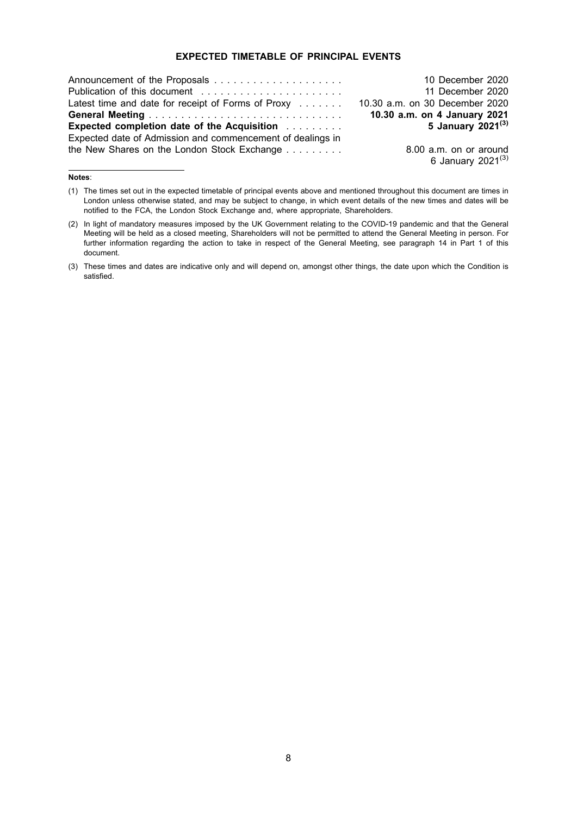#### **EXPECTED TIMETABLE OF PRINCIPAL EVENTS**

|                                                                  | 10 December 2020               |
|------------------------------------------------------------------|--------------------------------|
|                                                                  | 11 December 2020               |
| Latest time and date for receipt of Forms of Proxy $\dots \dots$ | 10.30 a.m. on 30 December 2020 |
|                                                                  | 10.30 a.m. on 4 January 2021   |
| <b>Expected completion date of the Acquisition Activity</b>      | 5 January 2021 <sup>(3)</sup>  |
| Expected date of Admission and commencement of dealings in       |                                |
| the New Shares on the London Stock Exchange                      | 8.00 a.m. on or around         |
|                                                                  | 6 January 2021 <sup>(3)</sup>  |

#### **Notes**:

<sup>(1)</sup> The times set out in the expected timetable of principal events above and mentioned throughout this document are times in London unless otherwise stated, and may be subject to change, in which event details of the new times and dates will be notified to the FCA, the London Stock Exchange and, where appropriate, Shareholders.

<sup>(2)</sup> In light of mandatory measures imposed by the UK Government relating to the COVID-19 pandemic and that the General Meeting will be held as a closed meeting, Shareholders will not be permitted to attend the General Meeting in person. For further information regarding the action to take in respect of the General Meeting, see paragraph 14 in Part 1 of this document.

<sup>(3)</sup> These times and dates are indicative only and will depend on, amongst other things, the date upon which the Condition is satisfied.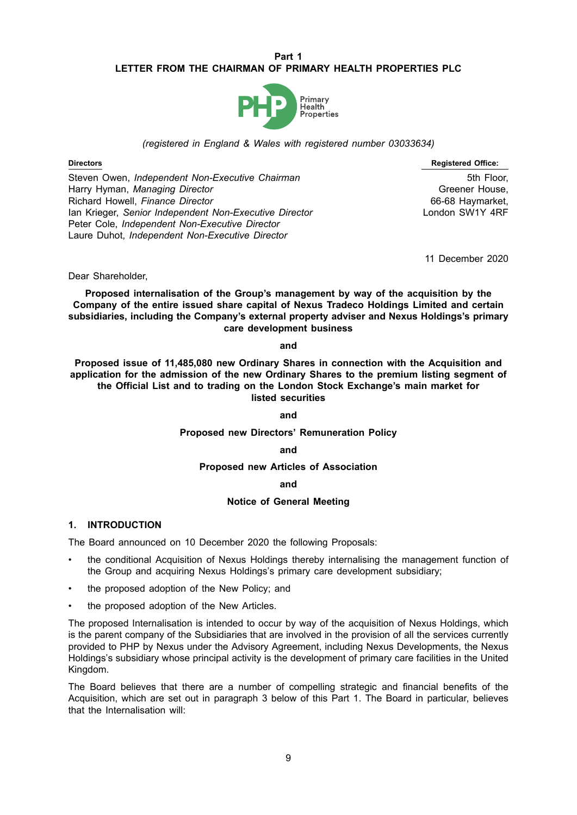#### **Part 1 LETTER FROM THE CHAIRMAN OF PRIMARY HEALTH PROPERTIES PLC**



#### *(registered in England & Wales with registered number 03033634)*

Steven Owen, *Independent Non-Executive Chairman* 5th Floor, 5th Floor, Harry Hyman, *Managing Director* Greener House, Greener House, Greener House, Greener House, Richard Howell, *Finance Director* 66-68 Haymarket, Ian Krieger, *Senior Independent Non-Executive Director* London SW1Y 4RF Peter Cole, *Independent Non-Executive Director* Laure Duhot, *Independent Non-Executive Director*

**Directors Registered Office:**

11 December 2020

Dear Shareholder,

**Proposed internalisation of the Group's management by way of the acquisition by the Company of the entire issued share capital of Nexus Tradeco Holdings Limited and certain subsidiaries, including the Company's external property adviser and Nexus Holdings's primary care development business**

#### **and**

**Proposed issue of 11,485,080 new Ordinary Shares in connection with the Acquisition and application for the admission of the new Ordinary Shares to the premium listing segment of the Official List and to trading on the London Stock Exchange's main market for listed securities**

#### **and**

#### **Proposed new Directors' Remuneration Policy**

#### **and**

**Proposed new Articles of Association**

#### **and**

#### **Notice of General Meeting**

#### **1. INTRODUCTION**

The Board announced on 10 December 2020 the following Proposals:

- the conditional Acquisition of Nexus Holdings thereby internalising the management function of the Group and acquiring Nexus Holdings's primary care development subsidiary;
- the proposed adoption of the New Policy; and
- the proposed adoption of the New Articles.

The proposed Internalisation is intended to occur by way of the acquisition of Nexus Holdings, which is the parent company of the Subsidiaries that are involved in the provision of all the services currently provided to PHP by Nexus under the Advisory Agreement, including Nexus Developments, the Nexus Holdings's subsidiary whose principal activity is the development of primary care facilities in the United Kingdom.

The Board believes that there are a number of compelling strategic and financial benefits of the Acquisition, which are set out in paragraph 3 below of this Part 1. The Board in particular, believes that the Internalisation will: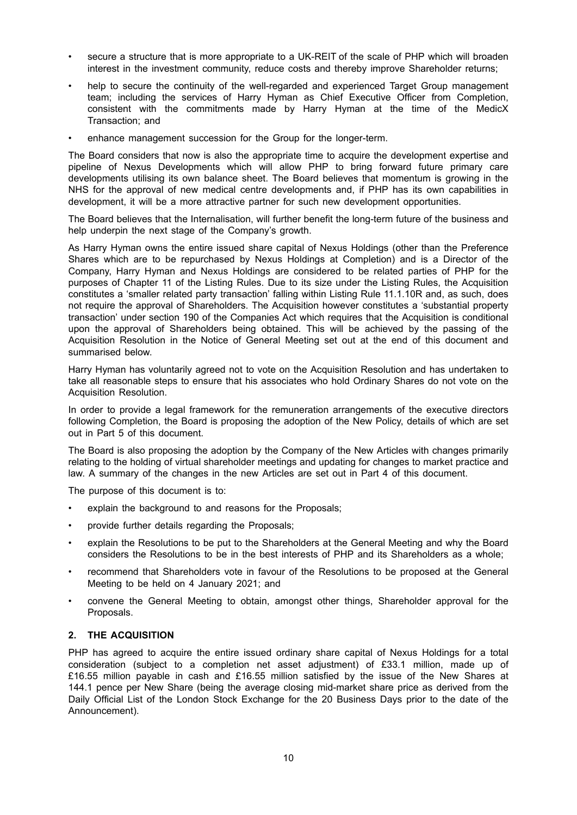- secure a structure that is more appropriate to a UK-REIT of the scale of PHP which will broaden interest in the investment community, reduce costs and thereby improve Shareholder returns;
- help to secure the continuity of the well-regarded and experienced Target Group management team; including the services of Harry Hyman as Chief Executive Officer from Completion, consistent with the commitments made by Harry Hyman at the time of the MedicX Transaction; and
- enhance management succession for the Group for the longer-term.

The Board considers that now is also the appropriate time to acquire the development expertise and pipeline of Nexus Developments which will allow PHP to bring forward future primary care developments utilising its own balance sheet. The Board believes that momentum is growing in the NHS for the approval of new medical centre developments and, if PHP has its own capabilities in development, it will be a more attractive partner for such new development opportunities.

The Board believes that the Internalisation, will further benefit the long-term future of the business and help underpin the next stage of the Company's growth.

As Harry Hyman owns the entire issued share capital of Nexus Holdings (other than the Preference Shares which are to be repurchased by Nexus Holdings at Completion) and is a Director of the Company, Harry Hyman and Nexus Holdings are considered to be related parties of PHP for the purposes of Chapter 11 of the Listing Rules. Due to its size under the Listing Rules, the Acquisition constitutes a 'smaller related party transaction' falling within Listing Rule 11.1.10R and, as such, does not require the approval of Shareholders. The Acquisition however constitutes a 'substantial property transaction' under section 190 of the Companies Act which requires that the Acquisition is conditional upon the approval of Shareholders being obtained. This will be achieved by the passing of the Acquisition Resolution in the Notice of General Meeting set out at the end of this document and summarised below.

Harry Hyman has voluntarily agreed not to vote on the Acquisition Resolution and has undertaken to take all reasonable steps to ensure that his associates who hold Ordinary Shares do not vote on the Acquisition Resolution.

In order to provide a legal framework for the remuneration arrangements of the executive directors following Completion, the Board is proposing the adoption of the New Policy, details of which are set out in Part 5 of this document.

The Board is also proposing the adoption by the Company of the New Articles with changes primarily relating to the holding of virtual shareholder meetings and updating for changes to market practice and law. A summary of the changes in the new Articles are set out in Part 4 of this document.

The purpose of this document is to:

- explain the background to and reasons for the Proposals;
- provide further details regarding the Proposals;
- explain the Resolutions to be put to the Shareholders at the General Meeting and why the Board considers the Resolutions to be in the best interests of PHP and its Shareholders as a whole;
- recommend that Shareholders vote in favour of the Resolutions to be proposed at the General Meeting to be held on 4 January 2021; and
- convene the General Meeting to obtain, amongst other things, Shareholder approval for the Proposals.

## **2. THE ACQUISITION**

PHP has agreed to acquire the entire issued ordinary share capital of Nexus Holdings for a total consideration (subject to a completion net asset adjustment) of £33.1 million, made up of £16.55 million payable in cash and £16.55 million satisfied by the issue of the New Shares at 144.1 pence per New Share (being the average closing mid-market share price as derived from the Daily Official List of the London Stock Exchange for the 20 Business Days prior to the date of the Announcement).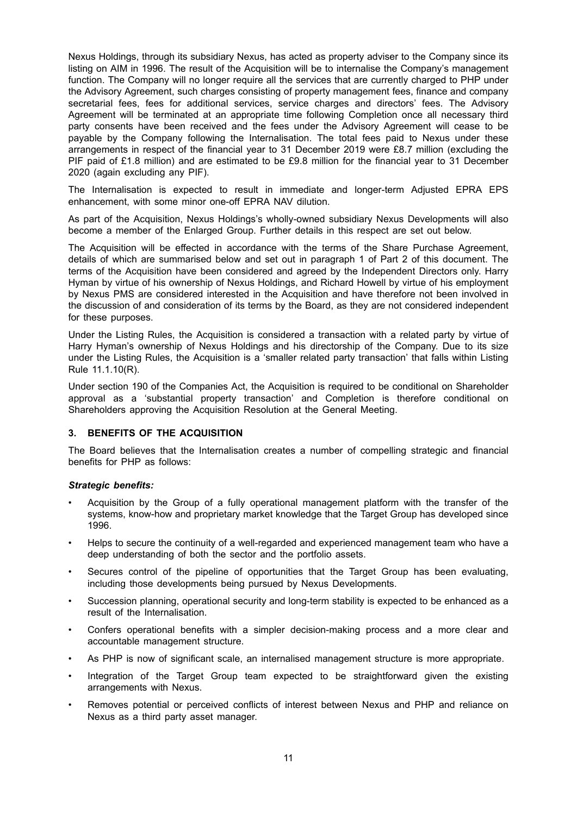Nexus Holdings, through its subsidiary Nexus, has acted as property adviser to the Company since its listing on AIM in 1996. The result of the Acquisition will be to internalise the Company's management function. The Company will no longer require all the services that are currently charged to PHP under the Advisory Agreement, such charges consisting of property management fees, finance and company secretarial fees, fees for additional services, service charges and directors' fees. The Advisory Agreement will be terminated at an appropriate time following Completion once all necessary third party consents have been received and the fees under the Advisory Agreement will cease to be payable by the Company following the Internalisation. The total fees paid to Nexus under these arrangements in respect of the financial year to 31 December 2019 were £8.7 million (excluding the PIF paid of £1.8 million) and are estimated to be £9.8 million for the financial year to 31 December 2020 (again excluding any PIF).

The Internalisation is expected to result in immediate and longer-term Adjusted EPRA EPS enhancement, with some minor one-off EPRA NAV dilution.

As part of the Acquisition, Nexus Holdings's wholly-owned subsidiary Nexus Developments will also become a member of the Enlarged Group. Further details in this respect are set out below.

The Acquisition will be effected in accordance with the terms of the Share Purchase Agreement, details of which are summarised below and set out in paragraph 1 of Part 2 of this document. The terms of the Acquisition have been considered and agreed by the Independent Directors only. Harry Hyman by virtue of his ownership of Nexus Holdings, and Richard Howell by virtue of his employment by Nexus PMS are considered interested in the Acquisition and have therefore not been involved in the discussion of and consideration of its terms by the Board, as they are not considered independent for these purposes.

Under the Listing Rules, the Acquisition is considered a transaction with a related party by virtue of Harry Hyman's ownership of Nexus Holdings and his directorship of the Company. Due to its size under the Listing Rules, the Acquisition is a 'smaller related party transaction' that falls within Listing Rule 11.1.10(R).

Under section 190 of the Companies Act, the Acquisition is required to be conditional on Shareholder approval as a 'substantial property transaction' and Completion is therefore conditional on Shareholders approving the Acquisition Resolution at the General Meeting.

#### **3. BENEFITS OF THE ACQUISITION**

The Board believes that the Internalisation creates a number of compelling strategic and financial benefits for PHP as follows:

#### *Strategic benefits:*

- Acquisition by the Group of a fully operational management platform with the transfer of the systems, know-how and proprietary market knowledge that the Target Group has developed since 1996.
- Helps to secure the continuity of a well-regarded and experienced management team who have a deep understanding of both the sector and the portfolio assets.
- Secures control of the pipeline of opportunities that the Target Group has been evaluating, including those developments being pursued by Nexus Developments.
- Succession planning, operational security and long-term stability is expected to be enhanced as a result of the Internalisation.
- Confers operational benefits with a simpler decision-making process and a more clear and accountable management structure.
- As PHP is now of significant scale, an internalised management structure is more appropriate.
- Integration of the Target Group team expected to be straightforward given the existing arrangements with Nexus.
- Removes potential or perceived conflicts of interest between Nexus and PHP and reliance on Nexus as a third party asset manager.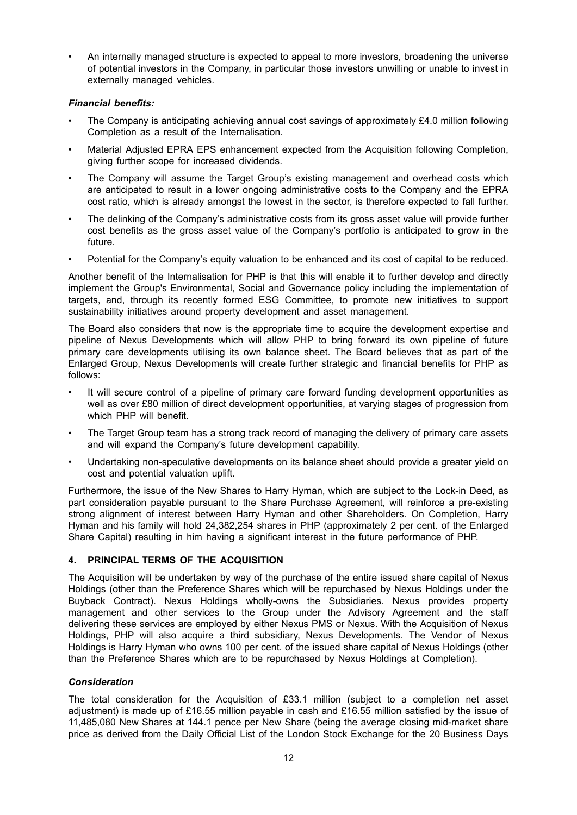• An internally managed structure is expected to appeal to more investors, broadening the universe of potential investors in the Company, in particular those investors unwilling or unable to invest in externally managed vehicles.

#### *Financial benefits:*

- The Company is anticipating achieving annual cost savings of approximately £4.0 million following Completion as a result of the Internalisation.
- Material Adjusted EPRA EPS enhancement expected from the Acquisition following Completion, giving further scope for increased dividends.
- The Company will assume the Target Group's existing management and overhead costs which are anticipated to result in a lower ongoing administrative costs to the Company and the EPRA cost ratio, which is already amongst the lowest in the sector, is therefore expected to fall further.
- The delinking of the Company's administrative costs from its gross asset value will provide further cost benefits as the gross asset value of the Company's portfolio is anticipated to grow in the future.
- Potential for the Company's equity valuation to be enhanced and its cost of capital to be reduced.

Another benefit of the Internalisation for PHP is that this will enable it to further develop and directly implement the Group's Environmental, Social and Governance policy including the implementation of targets, and, through its recently formed ESG Committee, to promote new initiatives to support sustainability initiatives around property development and asset management.

The Board also considers that now is the appropriate time to acquire the development expertise and pipeline of Nexus Developments which will allow PHP to bring forward its own pipeline of future primary care developments utilising its own balance sheet. The Board believes that as part of the Enlarged Group, Nexus Developments will create further strategic and financial benefits for PHP as follows:

- It will secure control of a pipeline of primary care forward funding development opportunities as well as over £80 million of direct development opportunities, at varying stages of progression from which PHP will benefit.
- The Target Group team has a strong track record of managing the delivery of primary care assets and will expand the Company's future development capability.
- Undertaking non-speculative developments on its balance sheet should provide a greater yield on cost and potential valuation uplift.

Furthermore, the issue of the New Shares to Harry Hyman, which are subject to the Lock-in Deed, as part consideration payable pursuant to the Share Purchase Agreement, will reinforce a pre-existing strong alignment of interest between Harry Hyman and other Shareholders. On Completion, Harry Hyman and his family will hold 24,382,254 shares in PHP (approximately 2 per cent. of the Enlarged Share Capital) resulting in him having a significant interest in the future performance of PHP.

## **4. PRINCIPAL TERMS OF THE ACQUISITION**

The Acquisition will be undertaken by way of the purchase of the entire issued share capital of Nexus Holdings (other than the Preference Shares which will be repurchased by Nexus Holdings under the Buyback Contract). Nexus Holdings wholly-owns the Subsidiaries. Nexus provides property management and other services to the Group under the Advisory Agreement and the staff delivering these services are employed by either Nexus PMS or Nexus. With the Acquisition of Nexus Holdings, PHP will also acquire a third subsidiary, Nexus Developments. The Vendor of Nexus Holdings is Harry Hyman who owns 100 per cent. of the issued share capital of Nexus Holdings (other than the Preference Shares which are to be repurchased by Nexus Holdings at Completion).

#### *Consideration*

The total consideration for the Acquisition of £33.1 million (subject to a completion net asset adjustment) is made up of £16.55 million payable in cash and £16.55 million satisfied by the issue of 11,485,080 New Shares at 144.1 pence per New Share (being the average closing mid-market share price as derived from the Daily Official List of the London Stock Exchange for the 20 Business Days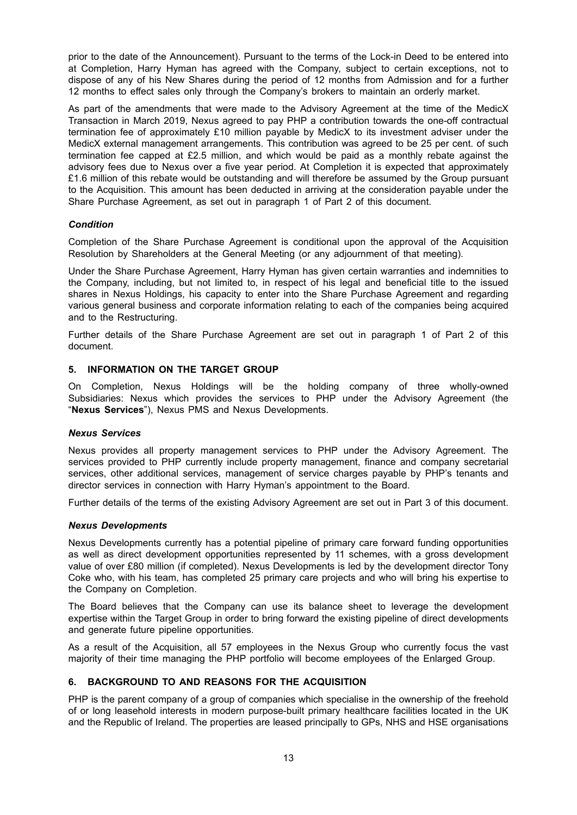prior to the date of the Announcement). Pursuant to the terms of the Lock-in Deed to be entered into at Completion, Harry Hyman has agreed with the Company, subject to certain exceptions, not to dispose of any of his New Shares during the period of 12 months from Admission and for a further 12 months to effect sales only through the Company's brokers to maintain an orderly market.

As part of the amendments that were made to the Advisory Agreement at the time of the MedicX Transaction in March 2019, Nexus agreed to pay PHP a contribution towards the one-off contractual termination fee of approximately £10 million payable by MedicX to its investment adviser under the MedicX external management arrangements. This contribution was agreed to be 25 per cent. of such termination fee capped at £2.5 million, and which would be paid as a monthly rebate against the advisory fees due to Nexus over a five year period. At Completion it is expected that approximately £1.6 million of this rebate would be outstanding and will therefore be assumed by the Group pursuant to the Acquisition. This amount has been deducted in arriving at the consideration payable under the Share Purchase Agreement, as set out in paragraph 1 of Part 2 of this document.

#### *Condition*

Completion of the Share Purchase Agreement is conditional upon the approval of the Acquisition Resolution by Shareholders at the General Meeting (or any adjournment of that meeting).

Under the Share Purchase Agreement, Harry Hyman has given certain warranties and indemnities to the Company, including, but not limited to, in respect of his legal and beneficial title to the issued shares in Nexus Holdings, his capacity to enter into the Share Purchase Agreement and regarding various general business and corporate information relating to each of the companies being acquired and to the Restructuring.

Further details of the Share Purchase Agreement are set out in paragraph 1 of Part 2 of this document.

#### **5. INFORMATION ON THE TARGET GROUP**

On Completion, Nexus Holdings will be the holding company of three wholly-owned Subsidiaries: Nexus which provides the services to PHP under the Advisory Agreement (the "**Nexus Services**"), Nexus PMS and Nexus Developments.

#### *Nexus Services*

Nexus provides all property management services to PHP under the Advisory Agreement. The services provided to PHP currently include property management, finance and company secretarial services, other additional services, management of service charges payable by PHP's tenants and director services in connection with Harry Hyman's appointment to the Board.

Further details of the terms of the existing Advisory Agreement are set out in Part 3 of this document.

#### *Nexus Developments*

Nexus Developments currently has a potential pipeline of primary care forward funding opportunities as well as direct development opportunities represented by 11 schemes, with a gross development value of over £80 million (if completed). Nexus Developments is led by the development director Tony Coke who, with his team, has completed 25 primary care projects and who will bring his expertise to the Company on Completion.

The Board believes that the Company can use its balance sheet to leverage the development expertise within the Target Group in order to bring forward the existing pipeline of direct developments and generate future pipeline opportunities.

As a result of the Acquisition, all 57 employees in the Nexus Group who currently focus the vast majority of their time managing the PHP portfolio will become employees of the Enlarged Group.

#### **6. BACKGROUND TO AND REASONS FOR THE ACQUISITION**

PHP is the parent company of a group of companies which specialise in the ownership of the freehold of or long leasehold interests in modern purpose-built primary healthcare facilities located in the UK and the Republic of Ireland. The properties are leased principally to GPs, NHS and HSE organisations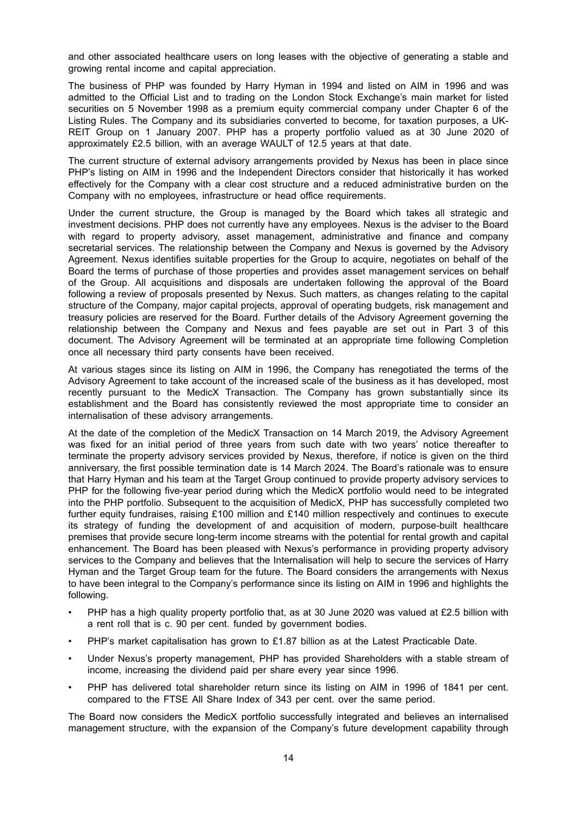and other associated healthcare users on long leases with the objective of generating a stable and growing rental income and capital appreciation.

The business of PHP was founded by Harry Hyman in 1994 and listed on AIM in 1996 and was admitted to the Official List and to trading on the London Stock Exchange's main market for listed securities on 5 November 1998 as a premium equity commercial company under Chapter 6 of the Listing Rules. The Company and its subsidiaries converted to become, for taxation purposes, a UK-REIT Group on 1 January 2007. PHP has a property portfolio valued as at 30 June 2020 of approximately £2.5 billion, with an average WAULT of 12.5 years at that date.

The current structure of external advisory arrangements provided by Nexus has been in place since PHP's listing on AIM in 1996 and the Independent Directors consider that historically it has worked effectively for the Company with a clear cost structure and a reduced administrative burden on the Company with no employees, infrastructure or head office requirements.

Under the current structure, the Group is managed by the Board which takes all strategic and investment decisions. PHP does not currently have any employees. Nexus is the adviser to the Board with regard to property advisory, asset management, administrative and finance and company secretarial services. The relationship between the Company and Nexus is governed by the Advisory Agreement. Nexus identifies suitable properties for the Group to acquire, negotiates on behalf of the Board the terms of purchase of those properties and provides asset management services on behalf of the Group. All acquisitions and disposals are undertaken following the approval of the Board following a review of proposals presented by Nexus. Such matters, as changes relating to the capital structure of the Company, major capital projects, approval of operating budgets, risk management and treasury policies are reserved for the Board. Further details of the Advisory Agreement governing the relationship between the Company and Nexus and fees payable are set out in Part 3 of this document. The Advisory Agreement will be terminated at an appropriate time following Completion once all necessary third party consents have been received.

At various stages since its listing on AIM in 1996, the Company has renegotiated the terms of the Advisory Agreement to take account of the increased scale of the business as it has developed, most recently pursuant to the MedicX Transaction. The Company has grown substantially since its establishment and the Board has consistently reviewed the most appropriate time to consider an internalisation of these advisory arrangements.

At the date of the completion of the MedicX Transaction on 14 March 2019, the Advisory Agreement was fixed for an initial period of three years from such date with two years' notice thereafter to terminate the property advisory services provided by Nexus, therefore, if notice is given on the third anniversary, the first possible termination date is 14 March 2024. The Board's rationale was to ensure that Harry Hyman and his team at the Target Group continued to provide property advisory services to PHP for the following five-year period during which the MedicX portfolio would need to be integrated into the PHP portfolio. Subsequent to the acquisition of MedicX, PHP has successfully completed two further equity fundraises, raising £100 million and £140 million respectively and continues to execute its strategy of funding the development of and acquisition of modern, purpose-built healthcare premises that provide secure long-term income streams with the potential for rental growth and capital enhancement. The Board has been pleased with Nexus's performance in providing property advisory services to the Company and believes that the Internalisation will help to secure the services of Harry Hyman and the Target Group team for the future. The Board considers the arrangements with Nexus to have been integral to the Company's performance since its listing on AIM in 1996 and highlights the following.

- PHP has a high quality property portfolio that, as at 30 June 2020 was valued at £2.5 billion with a rent roll that is c. 90 per cent. funded by government bodies.
- PHP's market capitalisation has grown to £1.87 billion as at the Latest Practicable Date.
- Under Nexus's property management, PHP has provided Shareholders with a stable stream of income, increasing the dividend paid per share every year since 1996.
- PHP has delivered total shareholder return since its listing on AIM in 1996 of 1841 per cent. compared to the FTSE All Share Index of 343 per cent. over the same period.

The Board now considers the MedicX portfolio successfully integrated and believes an internalised management structure, with the expansion of the Company's future development capability through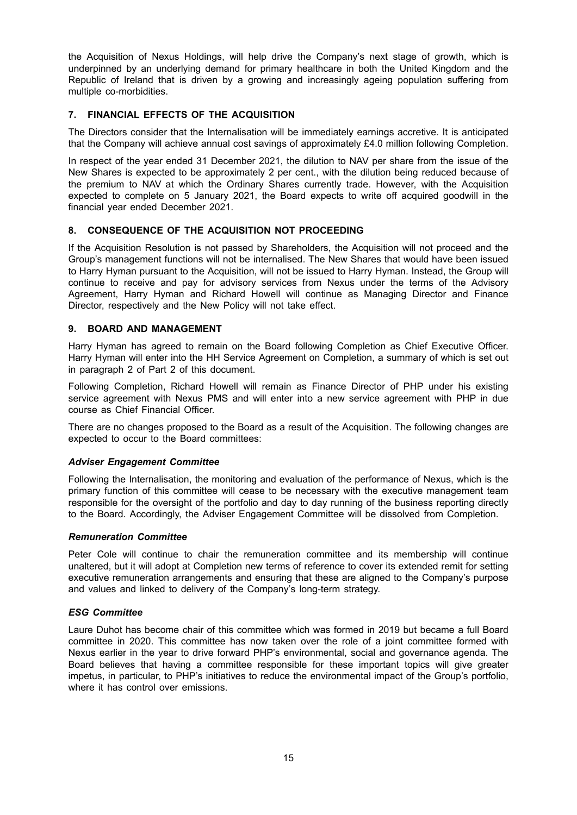the Acquisition of Nexus Holdings, will help drive the Company's next stage of growth, which is underpinned by an underlying demand for primary healthcare in both the United Kingdom and the Republic of Ireland that is driven by a growing and increasingly ageing population suffering from multiple co-morbidities.

#### **7. FINANCIAL EFFECTS OF THE ACQUISITION**

The Directors consider that the Internalisation will be immediately earnings accretive. It is anticipated that the Company will achieve annual cost savings of approximately £4.0 million following Completion.

In respect of the year ended 31 December 2021, the dilution to NAV per share from the issue of the New Shares is expected to be approximately 2 per cent., with the dilution being reduced because of the premium to NAV at which the Ordinary Shares currently trade. However, with the Acquisition expected to complete on 5 January 2021, the Board expects to write off acquired goodwill in the financial year ended December 2021.

#### **8. CONSEQUENCE OF THE ACQUISITION NOT PROCEEDING**

If the Acquisition Resolution is not passed by Shareholders, the Acquisition will not proceed and the Group's management functions will not be internalised. The New Shares that would have been issued to Harry Hyman pursuant to the Acquisition, will not be issued to Harry Hyman. Instead, the Group will continue to receive and pay for advisory services from Nexus under the terms of the Advisory Agreement, Harry Hyman and Richard Howell will continue as Managing Director and Finance Director, respectively and the New Policy will not take effect.

#### **9. BOARD AND MANAGEMENT**

Harry Hyman has agreed to remain on the Board following Completion as Chief Executive Officer. Harry Hyman will enter into the HH Service Agreement on Completion, a summary of which is set out in paragraph 2 of Part 2 of this document.

Following Completion, Richard Howell will remain as Finance Director of PHP under his existing service agreement with Nexus PMS and will enter into a new service agreement with PHP in due course as Chief Financial Officer.

There are no changes proposed to the Board as a result of the Acquisition. The following changes are expected to occur to the Board committees:

#### *Adviser Engagement Committee*

Following the Internalisation, the monitoring and evaluation of the performance of Nexus, which is the primary function of this committee will cease to be necessary with the executive management team responsible for the oversight of the portfolio and day to day running of the business reporting directly to the Board. Accordingly, the Adviser Engagement Committee will be dissolved from Completion.

#### *Remuneration Committee*

Peter Cole will continue to chair the remuneration committee and its membership will continue unaltered, but it will adopt at Completion new terms of reference to cover its extended remit for setting executive remuneration arrangements and ensuring that these are aligned to the Company's purpose and values and linked to delivery of the Company's long-term strategy.

#### *ESG Committee*

Laure Duhot has become chair of this committee which was formed in 2019 but became a full Board committee in 2020. This committee has now taken over the role of a joint committee formed with Nexus earlier in the year to drive forward PHP's environmental, social and governance agenda. The Board believes that having a committee responsible for these important topics will give greater impetus, in particular, to PHP's initiatives to reduce the environmental impact of the Group's portfolio, where it has control over emissions.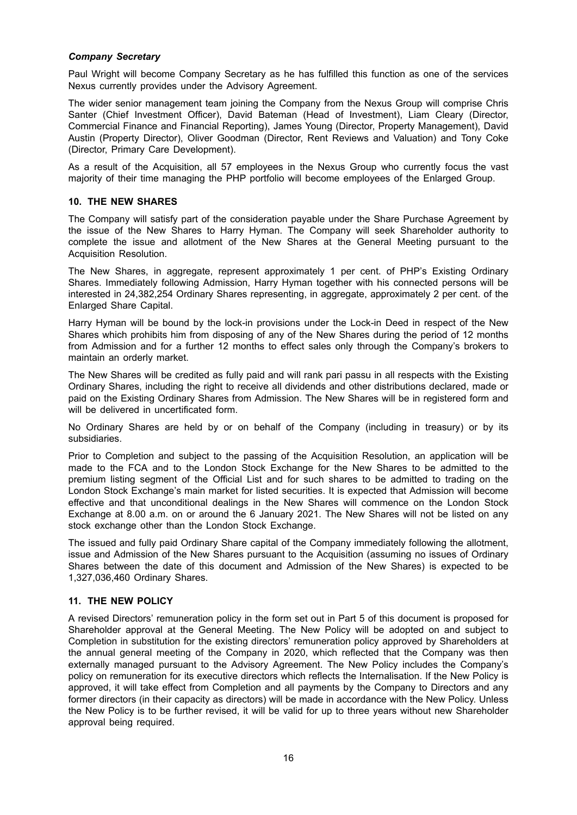#### *Company Secretary*

Paul Wright will become Company Secretary as he has fulfilled this function as one of the services Nexus currently provides under the Advisory Agreement.

The wider senior management team joining the Company from the Nexus Group will comprise Chris Santer (Chief Investment Officer), David Bateman (Head of Investment), Liam Cleary (Director, Commercial Finance and Financial Reporting), James Young (Director, Property Management), David Austin (Property Director), Oliver Goodman (Director, Rent Reviews and Valuation) and Tony Coke (Director, Primary Care Development).

As a result of the Acquisition, all 57 employees in the Nexus Group who currently focus the vast majority of their time managing the PHP portfolio will become employees of the Enlarged Group.

#### **10. THE NEW SHARES**

The Company will satisfy part of the consideration payable under the Share Purchase Agreement by the issue of the New Shares to Harry Hyman. The Company will seek Shareholder authority to complete the issue and allotment of the New Shares at the General Meeting pursuant to the Acquisition Resolution.

The New Shares, in aggregate, represent approximately 1 per cent. of PHP's Existing Ordinary Shares. Immediately following Admission, Harry Hyman together with his connected persons will be interested in 24,382,254 Ordinary Shares representing, in aggregate, approximately 2 per cent. of the Enlarged Share Capital.

Harry Hyman will be bound by the lock-in provisions under the Lock-in Deed in respect of the New Shares which prohibits him from disposing of any of the New Shares during the period of 12 months from Admission and for a further 12 months to effect sales only through the Company's brokers to maintain an orderly market.

The New Shares will be credited as fully paid and will rank pari passu in all respects with the Existing Ordinary Shares, including the right to receive all dividends and other distributions declared, made or paid on the Existing Ordinary Shares from Admission. The New Shares will be in registered form and will be delivered in uncertificated form.

No Ordinary Shares are held by or on behalf of the Company (including in treasury) or by its subsidiaries.

Prior to Completion and subject to the passing of the Acquisition Resolution, an application will be made to the FCA and to the London Stock Exchange for the New Shares to be admitted to the premium listing segment of the Official List and for such shares to be admitted to trading on the London Stock Exchange's main market for listed securities. It is expected that Admission will become effective and that unconditional dealings in the New Shares will commence on the London Stock Exchange at 8.00 a.m. on or around the 6 January 2021. The New Shares will not be listed on any stock exchange other than the London Stock Exchange.

The issued and fully paid Ordinary Share capital of the Company immediately following the allotment, issue and Admission of the New Shares pursuant to the Acquisition (assuming no issues of Ordinary Shares between the date of this document and Admission of the New Shares) is expected to be 1,327,036,460 Ordinary Shares.

#### **11. THE NEW POLICY**

A revised Directors' remuneration policy in the form set out in Part 5 of this document is proposed for Shareholder approval at the General Meeting. The New Policy will be adopted on and subject to Completion in substitution for the existing directors' remuneration policy approved by Shareholders at the annual general meeting of the Company in 2020, which reflected that the Company was then externally managed pursuant to the Advisory Agreement. The New Policy includes the Company's policy on remuneration for its executive directors which reflects the Internalisation. If the New Policy is approved, it will take effect from Completion and all payments by the Company to Directors and any former directors (in their capacity as directors) will be made in accordance with the New Policy. Unless the New Policy is to be further revised, it will be valid for up to three years without new Shareholder approval being required.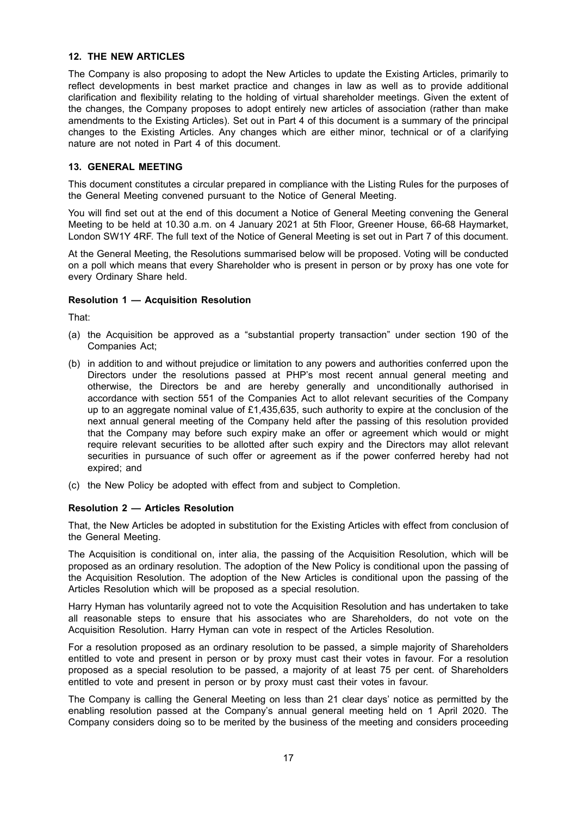#### **12. THE NEW ARTICLES**

The Company is also proposing to adopt the New Articles to update the Existing Articles, primarily to reflect developments in best market practice and changes in law as well as to provide additional clarification and flexibility relating to the holding of virtual shareholder meetings. Given the extent of the changes, the Company proposes to adopt entirely new articles of association (rather than make amendments to the Existing Articles). Set out in Part 4 of this document is a summary of the principal changes to the Existing Articles. Any changes which are either minor, technical or of a clarifying nature are not noted in Part 4 of this document.

#### **13. GENERAL MEETING**

This document constitutes a circular prepared in compliance with the Listing Rules for the purposes of the General Meeting convened pursuant to the Notice of General Meeting.

You will find set out at the end of this document a Notice of General Meeting convening the General Meeting to be held at 10.30 a.m. on 4 January 2021 at 5th Floor, Greener House, 66-68 Haymarket, London SW1Y 4RF. The full text of the Notice of General Meeting is set out in Part 7 of this document.

At the General Meeting, the Resolutions summarised below will be proposed. Voting will be conducted on a poll which means that every Shareholder who is present in person or by proxy has one vote for every Ordinary Share held.

#### **Resolution 1 — Acquisition Resolution**

That:

- (a) the Acquisition be approved as a "substantial property transaction" under section 190 of the Companies Act;
- (b) in addition to and without prejudice or limitation to any powers and authorities conferred upon the Directors under the resolutions passed at PHP's most recent annual general meeting and otherwise, the Directors be and are hereby generally and unconditionally authorised in accordance with section 551 of the Companies Act to allot relevant securities of the Company up to an aggregate nominal value of £1,435,635, such authority to expire at the conclusion of the next annual general meeting of the Company held after the passing of this resolution provided that the Company may before such expiry make an offer or agreement which would or might require relevant securities to be allotted after such expiry and the Directors may allot relevant securities in pursuance of such offer or agreement as if the power conferred hereby had not expired; and
- (c) the New Policy be adopted with effect from and subject to Completion.

#### **Resolution 2 — Articles Resolution**

That, the New Articles be adopted in substitution for the Existing Articles with effect from conclusion of the General Meeting.

The Acquisition is conditional on, inter alia, the passing of the Acquisition Resolution, which will be proposed as an ordinary resolution. The adoption of the New Policy is conditional upon the passing of the Acquisition Resolution. The adoption of the New Articles is conditional upon the passing of the Articles Resolution which will be proposed as a special resolution.

Harry Hyman has voluntarily agreed not to vote the Acquisition Resolution and has undertaken to take all reasonable steps to ensure that his associates who are Shareholders, do not vote on the Acquisition Resolution. Harry Hyman can vote in respect of the Articles Resolution.

For a resolution proposed as an ordinary resolution to be passed, a simple majority of Shareholders entitled to vote and present in person or by proxy must cast their votes in favour. For a resolution proposed as a special resolution to be passed, a majority of at least 75 per cent. of Shareholders entitled to vote and present in person or by proxy must cast their votes in favour.

The Company is calling the General Meeting on less than 21 clear days' notice as permitted by the enabling resolution passed at the Company's annual general meeting held on 1 April 2020. The Company considers doing so to be merited by the business of the meeting and considers proceeding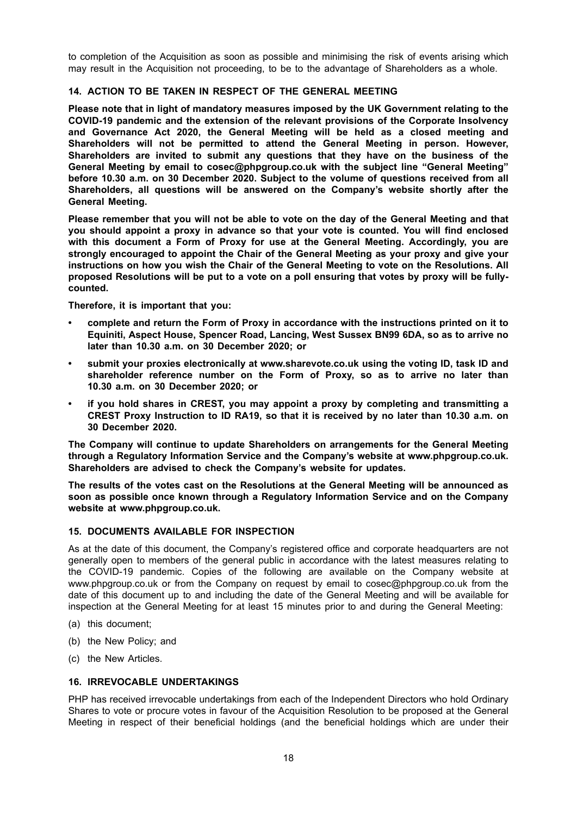to completion of the Acquisition as soon as possible and minimising the risk of events arising which may result in the Acquisition not proceeding, to be to the advantage of Shareholders as a whole.

#### **14. ACTION TO BE TAKEN IN RESPECT OF THE GENERAL MEETING**

**Please note that in light of mandatory measures imposed by the UK Government relating to the COVID-19 pandemic and the extension of the relevant provisions of the Corporate Insolvency and Governance Act 2020, the General Meeting will be held as a closed meeting and Shareholders will not be permitted to attend the General Meeting in person. However, Shareholders are invited to submit any questions that they have on the business of the General Meeting by email to cosec@phpgroup.co.uk with the subject line "General Meeting" before 10.30 a.m. on 30 December 2020. Subject to the volume of questions received from all Shareholders, all questions will be answered on the Company's website shortly after the General Meeting.**

Please remember that you will not be able to vote on the day of the General Meeting and that **you should appoint a proxy in advance so that your vote is counted. You will find enclosed with this document a Form of Proxy for use at the General Meeting. Accordingly, you are strongly encouraged to appoint the Chair of the General Meeting as your proxy and give your instructions on how you wish the Chair of the General Meeting to vote on the Resolutions. All** proposed Resolutions will be put to a vote on a poll ensuring that votes by proxy will be fully**counted.**

**Therefore, it is important that you:**

- **• complete and return the Form of Proxy in accordance with the instructions printed on it to Equiniti, Aspect House, Spencer Road, Lancing, West Sussex BN99 6DA, so as to arrive no later than 10.30 a.m. on 30 December 2020; or**
- **• submit your proxies electronically at www.sharevote.co.uk using the voting ID, task ID and shareholder reference number on the Form of Proxy, so as to arrive no later than 10.30 a.m. on 30 December 2020; or**
- **• if you hold shares in CREST, you may appoint a proxy by completing and transmitting a CREST Proxy Instruction to ID RA19, so that it is received by no later than 10.30 a.m. on 30 December 2020.**

**The Company will continue to update Shareholders on arrangements for the General Meeting through a Regulatory Information Service and the Company's website at www.phpgroup.co.uk. Shareholders are advised to check the Company's website for updates.**

**The results of the votes cast on the Resolutions at the General Meeting will be announced as soon as possible once known through a Regulatory Information Service and on the Company website at www.phpgroup.co.uk.**

#### **15. DOCUMENTS AVAILABLE FOR INSPECTION**

As at the date of this document, the Company's registered office and corporate headquarters are not generally open to members of the general public in accordance with the latest measures relating to the COVID-19 pandemic. Copies of the following are available on the Company website at www.phpgroup.co.uk or from the Company on request by email to cosec@phpgroup.co.uk from the date of this document up to and including the date of the General Meeting and will be available for inspection at the General Meeting for at least 15 minutes prior to and during the General Meeting:

- (a) this document;
- (b) the New Policy; and
- (c) the New Articles.

#### **16. IRREVOCABLE UNDERTAKINGS**

PHP has received irrevocable undertakings from each of the Independent Directors who hold Ordinary Shares to vote or procure votes in favour of the Acquisition Resolution to be proposed at the General Meeting in respect of their beneficial holdings (and the beneficial holdings which are under their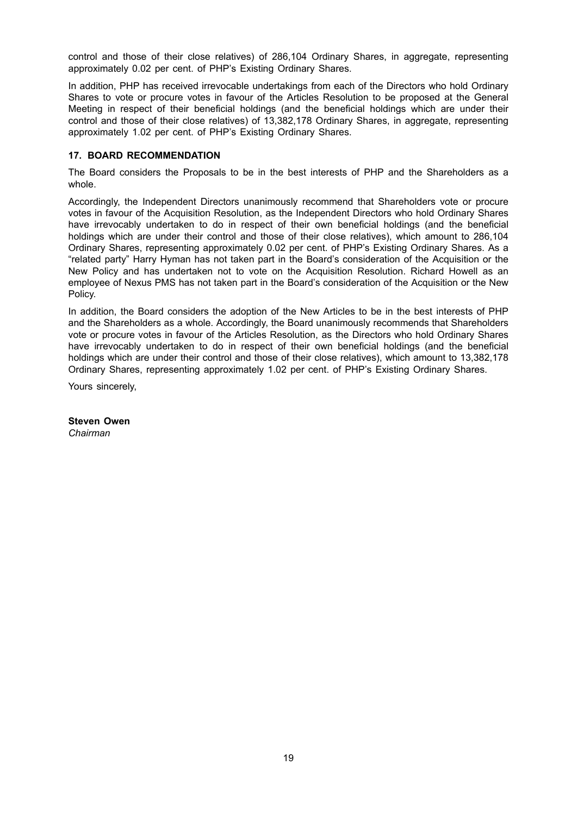control and those of their close relatives) of 286,104 Ordinary Shares, in aggregate, representing approximately 0.02 per cent. of PHP's Existing Ordinary Shares.

In addition, PHP has received irrevocable undertakings from each of the Directors who hold Ordinary Shares to vote or procure votes in favour of the Articles Resolution to be proposed at the General Meeting in respect of their beneficial holdings (and the beneficial holdings which are under their control and those of their close relatives) of 13,382,178 Ordinary Shares, in aggregate, representing approximately 1.02 per cent. of PHP's Existing Ordinary Shares.

#### **17. BOARD RECOMMENDATION**

The Board considers the Proposals to be in the best interests of PHP and the Shareholders as a whole.

Accordingly, the Independent Directors unanimously recommend that Shareholders vote or procure votes in favour of the Acquisition Resolution, as the Independent Directors who hold Ordinary Shares have irrevocably undertaken to do in respect of their own beneficial holdings (and the beneficial holdings which are under their control and those of their close relatives), which amount to 286,104 Ordinary Shares, representing approximately 0.02 per cent. of PHP's Existing Ordinary Shares. As a "related party" Harry Hyman has not taken part in the Board's consideration of the Acquisition or the New Policy and has undertaken not to vote on the Acquisition Resolution. Richard Howell as an employee of Nexus PMS has not taken part in the Board's consideration of the Acquisition or the New Policy.

In addition, the Board considers the adoption of the New Articles to be in the best interests of PHP and the Shareholders as a whole. Accordingly, the Board unanimously recommends that Shareholders vote or procure votes in favour of the Articles Resolution, as the Directors who hold Ordinary Shares have irrevocably undertaken to do in respect of their own beneficial holdings (and the beneficial holdings which are under their control and those of their close relatives), which amount to 13,382,178 Ordinary Shares, representing approximately 1.02 per cent. of PHP's Existing Ordinary Shares.

Yours sincerely,

**Steven Owen** *Chairman*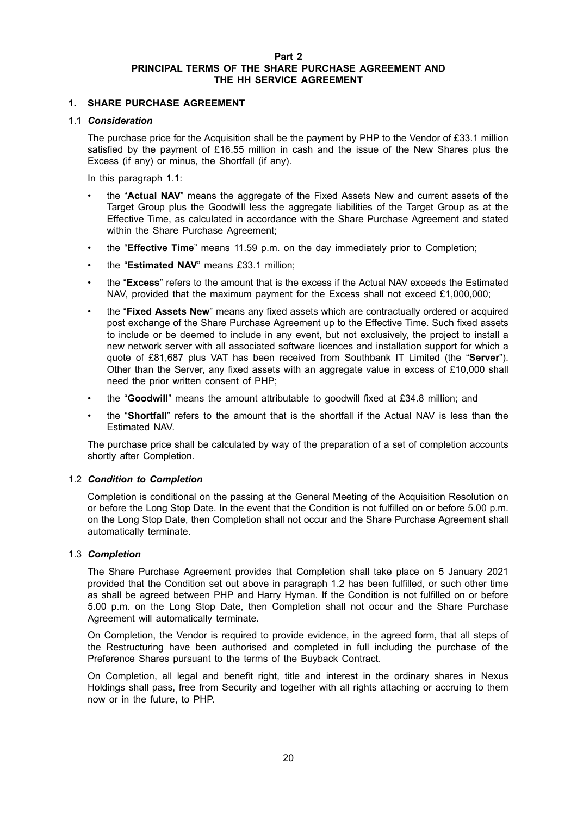#### **Part 2 PRINCIPAL TERMS OF THE SHARE PURCHASE AGREEMENT AND THE HH SERVICE AGREEMENT**

## **1. SHARE PURCHASE AGREEMENT**

#### 1.1 *Consideration*

The purchase price for the Acquisition shall be the payment by PHP to the Vendor of £33.1 million satisfied by the payment of £16.55 million in cash and the issue of the New Shares plus the Excess (if any) or minus, the Shortfall (if any).

In this paragraph 1.1:

- the "**Actual NAV**" means the aggregate of the Fixed Assets New and current assets of the Target Group plus the Goodwill less the aggregate liabilities of the Target Group as at the Effective Time, as calculated in accordance with the Share Purchase Agreement and stated within the Share Purchase Agreement:
- the "**Effective Time**" means 11.59 p.m. on the day immediately prior to Completion;
- the "**Estimated NAV**" means £33.1 million;
- the "**Excess**" refers to the amount that is the excess if the Actual NAV exceeds the Estimated NAV, provided that the maximum payment for the Excess shall not exceed £1,000,000;
- the "**Fixed Assets New**" means any fixed assets which are contractually ordered or acquired post exchange of the Share Purchase Agreement up to the Effective Time. Such fixed assets to include or be deemed to include in any event, but not exclusively, the project to install a new network server with all associated software licences and installation support for which a quote of £81,687 plus VAT has been received from Southbank IT Limited (the "**Server**"). Other than the Server, any fixed assets with an aggregate value in excess of £10,000 shall need the prior written consent of PHP;
- the "**Goodwill**" means the amount attributable to goodwill fixed at £34.8 million; and
- the "**Shortfall**" refers to the amount that is the shortfall if the Actual NAV is less than the Estimated NAV.

The purchase price shall be calculated by way of the preparation of a set of completion accounts shortly after Completion.

#### 1.2 *Condition to Completion*

Completion is conditional on the passing at the General Meeting of the Acquisition Resolution on or before the Long Stop Date. In the event that the Condition is not fulfilled on or before 5.00 p.m. on the Long Stop Date, then Completion shall not occur and the Share Purchase Agreement shall automatically terminate.

#### 1.3 *Completion*

The Share Purchase Agreement provides that Completion shall take place on 5 January 2021 provided that the Condition set out above in paragraph 1.2 has been fulfilled, or such other time as shall be agreed between PHP and Harry Hyman. If the Condition is not fulfilled on or before 5.00 p.m. on the Long Stop Date, then Completion shall not occur and the Share Purchase Agreement will automatically terminate.

On Completion, the Vendor is required to provide evidence, in the agreed form, that all steps of the Restructuring have been authorised and completed in full including the purchase of the Preference Shares pursuant to the terms of the Buyback Contract.

On Completion, all legal and benefit right, title and interest in the ordinary shares in Nexus Holdings shall pass, free from Security and together with all rights attaching or accruing to them now or in the future, to PHP.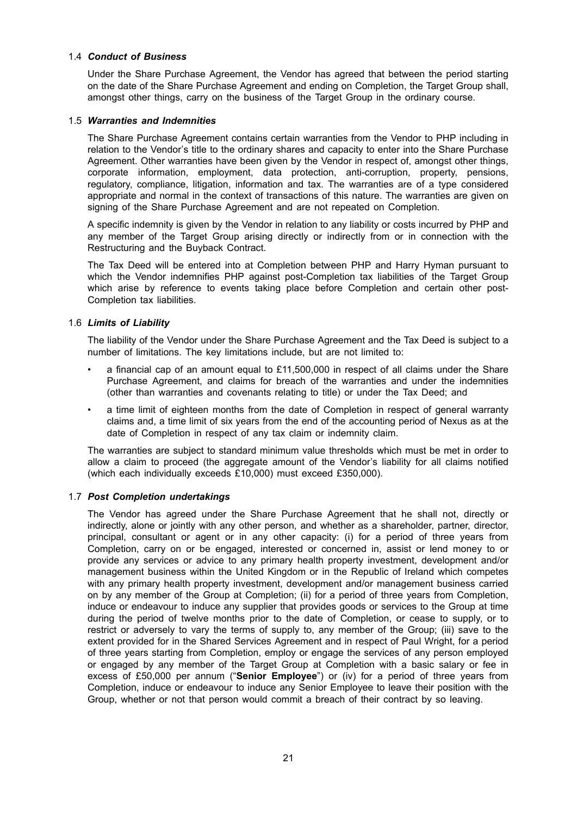#### 1.4 *Conduct of Business*

Under the Share Purchase Agreement, the Vendor has agreed that between the period starting on the date of the Share Purchase Agreement and ending on Completion, the Target Group shall, amongst other things, carry on the business of the Target Group in the ordinary course.

#### 1.5 *Warranties and Indemnities*

The Share Purchase Agreement contains certain warranties from the Vendor to PHP including in relation to the Vendor's title to the ordinary shares and capacity to enter into the Share Purchase Agreement. Other warranties have been given by the Vendor in respect of, amongst other things, corporate information, employment, data protection, anti-corruption, property, pensions, regulatory, compliance, litigation, information and tax. The warranties are of a type considered appropriate and normal in the context of transactions of this nature. The warranties are given on signing of the Share Purchase Agreement and are not repeated on Completion.

A specific indemnity is given by the Vendor in relation to any liability or costs incurred by PHP and any member of the Target Group arising directly or indirectly from or in connection with the Restructuring and the Buyback Contract.

The Tax Deed will be entered into at Completion between PHP and Harry Hyman pursuant to which the Vendor indemnifies PHP against post-Completion tax liabilities of the Target Group which arise by reference to events taking place before Completion and certain other post-Completion tax liabilities.

#### 1.6 *Limits of Liability*

The liability of the Vendor under the Share Purchase Agreement and the Tax Deed is subject to a number of limitations. The key limitations include, but are not limited to:

- a financial cap of an amount equal to £11,500,000 in respect of all claims under the Share Purchase Agreement, and claims for breach of the warranties and under the indemnities (other than warranties and covenants relating to title) or under the Tax Deed; and
- a time limit of eighteen months from the date of Completion in respect of general warranty claims and, a time limit of six years from the end of the accounting period of Nexus as at the date of Completion in respect of any tax claim or indemnity claim.

The warranties are subject to standard minimum value thresholds which must be met in order to allow a claim to proceed (the aggregate amount of the Vendor's liability for all claims notified (which each individually exceeds £10,000) must exceed £350,000).

#### 1.7 *Post Completion undertakings*

The Vendor has agreed under the Share Purchase Agreement that he shall not, directly or indirectly, alone or jointly with any other person, and whether as a shareholder, partner, director, principal, consultant or agent or in any other capacity: (i) for a period of three years from Completion, carry on or be engaged, interested or concerned in, assist or lend money to or provide any services or advice to any primary health property investment, development and/or management business within the United Kingdom or in the Republic of Ireland which competes with any primary health property investment, development and/or management business carried on by any member of the Group at Completion; (ii) for a period of three years from Completion, induce or endeavour to induce any supplier that provides goods or services to the Group at time during the period of twelve months prior to the date of Completion, or cease to supply, or to restrict or adversely to vary the terms of supply to, any member of the Group; (iii) save to the extent provided for in the Shared Services Agreement and in respect of Paul Wright, for a period of three years starting from Completion, employ or engage the services of any person employed or engaged by any member of the Target Group at Completion with a basic salary or fee in excess of £50,000 per annum ("**Senior Employee**") or (iv) for a period of three years from Completion, induce or endeavour to induce any Senior Employee to leave their position with the Group, whether or not that person would commit a breach of their contract by so leaving.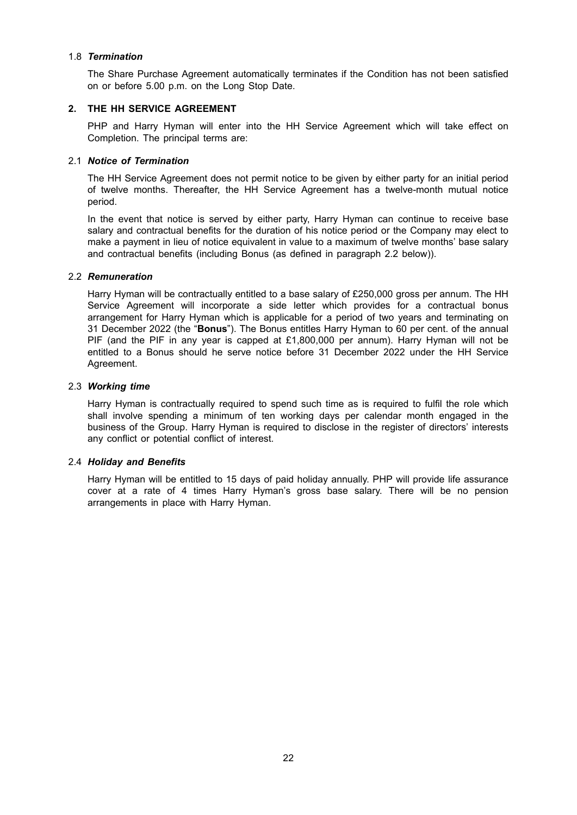#### 1.8 *Termination*

The Share Purchase Agreement automatically terminates if the Condition has not been satisfied on or before 5.00 p.m. on the Long Stop Date.

#### **2. THE HH SERVICE AGREEMENT**

PHP and Harry Hyman will enter into the HH Service Agreement which will take effect on Completion. The principal terms are:

#### 2.1 *Notice of Termination*

The HH Service Agreement does not permit notice to be given by either party for an initial period of twelve months. Thereafter, the HH Service Agreement has a twelve-month mutual notice period.

In the event that notice is served by either party, Harry Hyman can continue to receive base salary and contractual benefits for the duration of his notice period or the Company may elect to make a payment in lieu of notice equivalent in value to a maximum of twelve months' base salary and contractual benefits (including Bonus (as defined in paragraph 2.2 below)).

#### 2.2 *Remuneration*

Harry Hyman will be contractually entitled to a base salary of £250,000 gross per annum. The HH Service Agreement will incorporate a side letter which provides for a contractual bonus arrangement for Harry Hyman which is applicable for a period of two years and terminating on 31 December 2022 (the "**Bonus**"). The Bonus entitles Harry Hyman to 60 per cent. of the annual PIF (and the PIF in any year is capped at £1,800,000 per annum). Harry Hyman will not be entitled to a Bonus should he serve notice before 31 December 2022 under the HH Service Agreement.

#### 2.3 *Working time*

Harry Hyman is contractually required to spend such time as is required to fulfil the role which shall involve spending a minimum of ten working days per calendar month engaged in the business of the Group. Harry Hyman is required to disclose in the register of directors' interests any conflict or potential conflict of interest.

#### 2.4 *Holiday and Benefits*

Harry Hyman will be entitled to 15 days of paid holiday annually. PHP will provide life assurance cover at a rate of 4 times Harry Hyman's gross base salary. There will be no pension arrangements in place with Harry Hyman.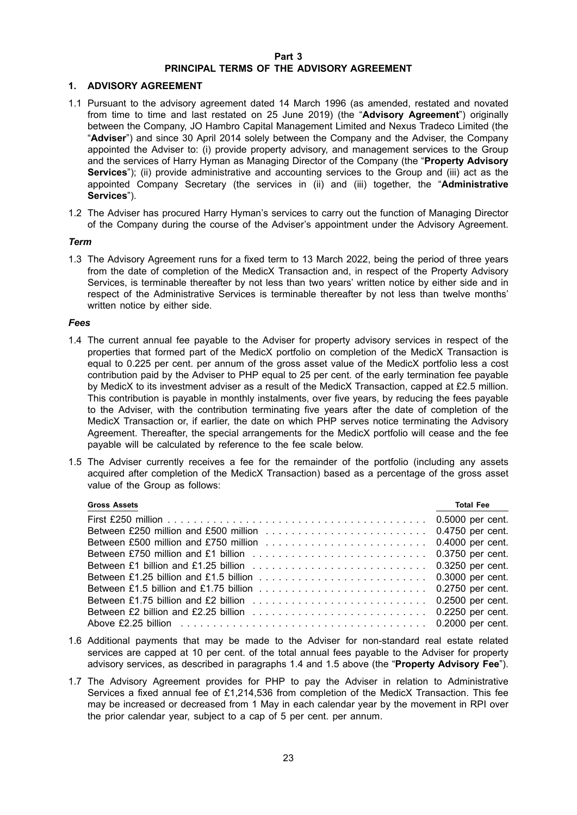#### **Part 3 PRINCIPAL TERMS OF THE ADVISORY AGREEMENT**

#### **1. ADVISORY AGREEMENT**

- 1.1 Pursuant to the advisory agreement dated 14 March 1996 (as amended, restated and novated from time to time and last restated on 25 June 2019) (the "**Advisory Agreement**") originally between the Company, JO Hambro Capital Management Limited and Nexus Tradeco Limited (the "**Adviser**") and since 30 April 2014 solely between the Company and the Adviser, the Company appointed the Adviser to: (i) provide property advisory, and management services to the Group and the services of Harry Hyman as Managing Director of the Company (the "**Property Advisory Services**"); (ii) provide administrative and accounting services to the Group and (iii) act as the appointed Company Secretary (the services in (ii) and (iii) together, the "**Administrative Services**").
- 1.2 The Adviser has procured Harry Hyman's services to carry out the function of Managing Director of the Company during the course of the Adviser's appointment under the Advisory Agreement.

#### *Term*

1.3 The Advisory Agreement runs for a fixed term to 13 March 2022, being the period of three years from the date of completion of the MedicX Transaction and, in respect of the Property Advisory Services, is terminable thereafter by not less than two years' written notice by either side and in respect of the Administrative Services is terminable thereafter by not less than twelve months' written notice by either side.

#### *Fees*

- 1.4 The current annual fee payable to the Adviser for property advisory services in respect of the properties that formed part of the MedicX portfolio on completion of the MedicX Transaction is equal to 0.225 per cent. per annum of the gross asset value of the MedicX portfolio less a cost contribution paid by the Adviser to PHP equal to 25 per cent. of the early termination fee payable by MedicX to its investment adviser as a result of the MedicX Transaction, capped at £2.5 million. This contribution is payable in monthly instalments, over five years, by reducing the fees payable to the Adviser, with the contribution terminating five years after the date of completion of the MedicX Transaction or, if earlier, the date on which PHP serves notice terminating the Advisory Agreement. Thereafter, the special arrangements for the MedicX portfolio will cease and the fee payable will be calculated by reference to the fee scale below.
- 1.5 The Adviser currently receives a fee for the remainder of the portfolio (including any assets acquired after completion of the MedicX Transaction) based as a percentage of the gross asset value of the Group as follows:

| <b>Gross Assets</b> | <b>Total Fee</b> |
|---------------------|------------------|
|                     |                  |
|                     |                  |
|                     |                  |
|                     |                  |
|                     |                  |
|                     |                  |
|                     |                  |
|                     |                  |
|                     |                  |
|                     |                  |

- 1.6 Additional payments that may be made to the Adviser for non-standard real estate related services are capped at 10 per cent. of the total annual fees payable to the Adviser for property advisory services, as described in paragraphs 1.4 and 1.5 above (the "**Property Advisory Fee**").
- 1.7 The Advisory Agreement provides for PHP to pay the Adviser in relation to Administrative Services a fixed annual fee of £1,214,536 from completion of the MedicX Transaction. This fee may be increased or decreased from 1 May in each calendar year by the movement in RPI over the prior calendar year, subject to a cap of 5 per cent. per annum.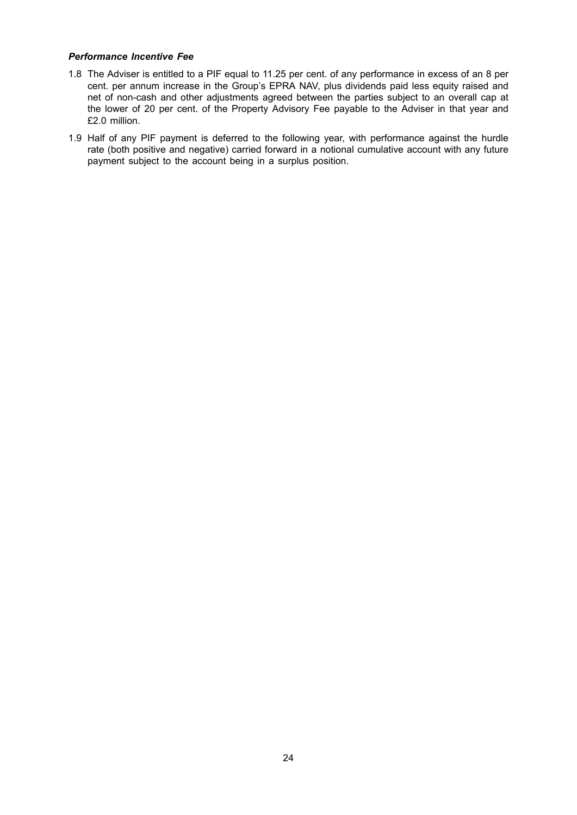#### *Performance Incentive Fee*

- 1.8 The Adviser is entitled to a PIF equal to 11.25 per cent. of any performance in excess of an 8 per cent. per annum increase in the Group's EPRA NAV, plus dividends paid less equity raised and net of non-cash and other adjustments agreed between the parties subject to an overall cap at the lower of 20 per cent. of the Property Advisory Fee payable to the Adviser in that year and £2.0 million.
- 1.9 Half of any PIF payment is deferred to the following year, with performance against the hurdle rate (both positive and negative) carried forward in a notional cumulative account with any future payment subject to the account being in a surplus position.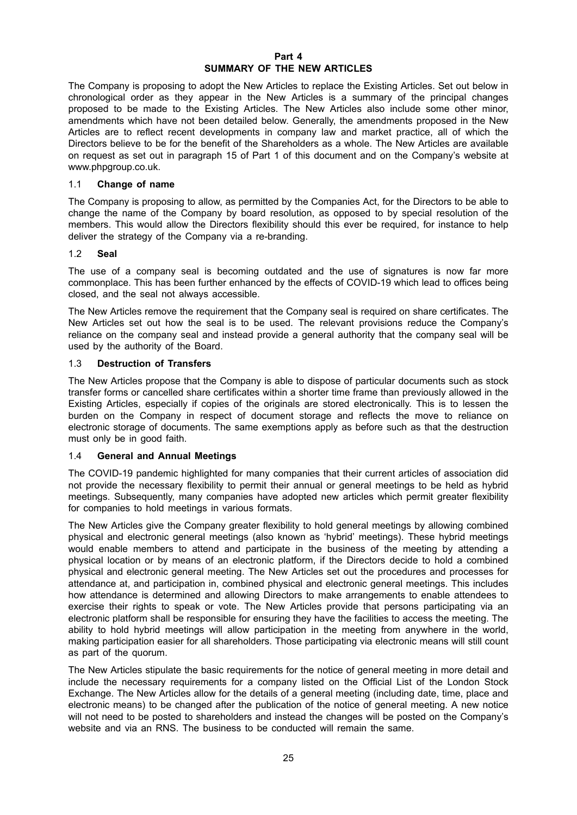#### **Part 4 SUMMARY OF THE NEW ARTICLES**

The Company is proposing to adopt the New Articles to replace the Existing Articles. Set out below in chronological order as they appear in the New Articles is a summary of the principal changes proposed to be made to the Existing Articles. The New Articles also include some other minor, amendments which have not been detailed below. Generally, the amendments proposed in the New Articles are to reflect recent developments in company law and market practice, all of which the Directors believe to be for the benefit of the Shareholders as a whole. The New Articles are available on request as set out in paragraph 15 of Part 1 of this document and on the Company's website at www.phpgroup.co.uk.

#### 1.1 **Change of name**

The Company is proposing to allow, as permitted by the Companies Act, for the Directors to be able to change the name of the Company by board resolution, as opposed to by special resolution of the members. This would allow the Directors flexibility should this ever be required, for instance to help deliver the strategy of the Company via a re-branding.

#### 1.2 **Seal**

The use of a company seal is becoming outdated and the use of signatures is now far more commonplace. This has been further enhanced by the effects of COVID-19 which lead to offices being closed, and the seal not always accessible.

The New Articles remove the requirement that the Company seal is required on share certificates. The New Articles set out how the seal is to be used. The relevant provisions reduce the Company's reliance on the company seal and instead provide a general authority that the company seal will be used by the authority of the Board.

#### 1.3 **Destruction of Transfers**

The New Articles propose that the Company is able to dispose of particular documents such as stock transfer forms or cancelled share certificates within a shorter time frame than previously allowed in the Existing Articles, especially if copies of the originals are stored electronically. This is to lessen the burden on the Company in respect of document storage and reflects the move to reliance on electronic storage of documents. The same exemptions apply as before such as that the destruction must only be in good faith.

#### 1.4 **General and Annual Meetings**

The COVID-19 pandemic highlighted for many companies that their current articles of association did not provide the necessary flexibility to permit their annual or general meetings to be held as hybrid meetings. Subsequently, many companies have adopted new articles which permit greater flexibility for companies to hold meetings in various formats.

The New Articles give the Company greater flexibility to hold general meetings by allowing combined physical and electronic general meetings (also known as 'hybrid' meetings). These hybrid meetings would enable members to attend and participate in the business of the meeting by attending a physical location or by means of an electronic platform, if the Directors decide to hold a combined physical and electronic general meeting. The New Articles set out the procedures and processes for attendance at, and participation in, combined physical and electronic general meetings. This includes how attendance is determined and allowing Directors to make arrangements to enable attendees to exercise their rights to speak or vote. The New Articles provide that persons participating via an electronic platform shall be responsible for ensuring they have the facilities to access the meeting. The ability to hold hybrid meetings will allow participation in the meeting from anywhere in the world, making participation easier for all shareholders. Those participating via electronic means will still count as part of the quorum.

The New Articles stipulate the basic requirements for the notice of general meeting in more detail and include the necessary requirements for a company listed on the Official List of the London Stock Exchange. The New Articles allow for the details of a general meeting (including date, time, place and electronic means) to be changed after the publication of the notice of general meeting. A new notice will not need to be posted to shareholders and instead the changes will be posted on the Company's website and via an RNS. The business to be conducted will remain the same.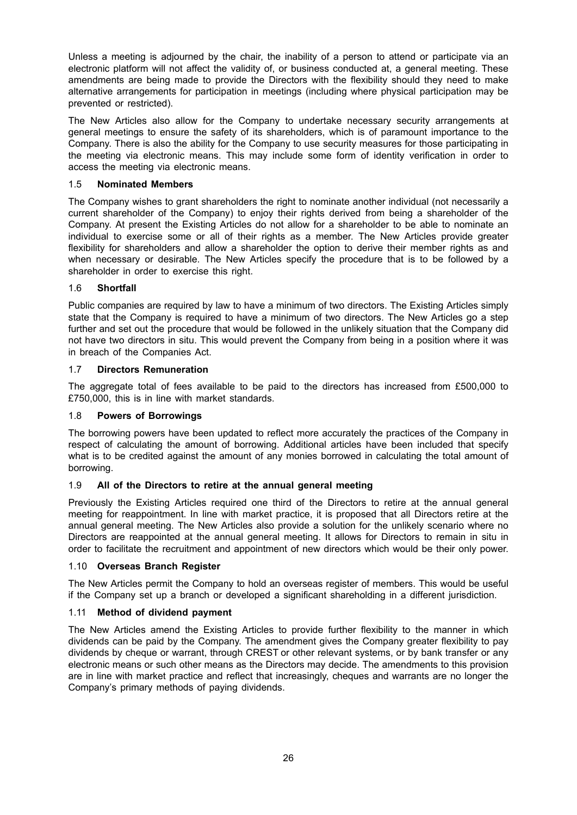Unless a meeting is adjourned by the chair, the inability of a person to attend or participate via an electronic platform will not affect the validity of, or business conducted at, a general meeting. These amendments are being made to provide the Directors with the flexibility should they need to make alternative arrangements for participation in meetings (including where physical participation may be prevented or restricted).

The New Articles also allow for the Company to undertake necessary security arrangements at general meetings to ensure the safety of its shareholders, which is of paramount importance to the Company. There is also the ability for the Company to use security measures for those participating in the meeting via electronic means. This may include some form of identity verification in order to access the meeting via electronic means.

## 1.5 **Nominated Members**

The Company wishes to grant shareholders the right to nominate another individual (not necessarily a current shareholder of the Company) to enjoy their rights derived from being a shareholder of the Company. At present the Existing Articles do not allow for a shareholder to be able to nominate an individual to exercise some or all of their rights as a member. The New Articles provide greater flexibility for shareholders and allow a shareholder the option to derive their member rights as and when necessary or desirable. The New Articles specify the procedure that is to be followed by a shareholder in order to exercise this right.

## 1.6 **Shortfall**

Public companies are required by law to have a minimum of two directors. The Existing Articles simply state that the Company is required to have a minimum of two directors. The New Articles go a step further and set out the procedure that would be followed in the unlikely situation that the Company did not have two directors in situ. This would prevent the Company from being in a position where it was in breach of the Companies Act.

## 1.7 **Directors Remuneration**

The aggregate total of fees available to be paid to the directors has increased from £500,000 to £750,000, this is in line with market standards.

#### 1.8 **Powers of Borrowings**

The borrowing powers have been updated to reflect more accurately the practices of the Company in respect of calculating the amount of borrowing. Additional articles have been included that specify what is to be credited against the amount of any monies borrowed in calculating the total amount of borrowing.

#### 1.9 **All of the Directors to retire at the annual general meeting**

Previously the Existing Articles required one third of the Directors to retire at the annual general meeting for reappointment. In line with market practice, it is proposed that all Directors retire at the annual general meeting. The New Articles also provide a solution for the unlikely scenario where no Directors are reappointed at the annual general meeting. It allows for Directors to remain in situ in order to facilitate the recruitment and appointment of new directors which would be their only power.

#### 1.10 **Overseas Branch Register**

The New Articles permit the Company to hold an overseas register of members. This would be useful if the Company set up a branch or developed a significant shareholding in a different jurisdiction.

#### 1.11 **Method of dividend payment**

The New Articles amend the Existing Articles to provide further flexibility to the manner in which dividends can be paid by the Company. The amendment gives the Company greater flexibility to pay dividends by cheque or warrant, through CREST or other relevant systems, or by bank transfer or any electronic means or such other means as the Directors may decide. The amendments to this provision are in line with market practice and reflect that increasingly, cheques and warrants are no longer the Company's primary methods of paying dividends.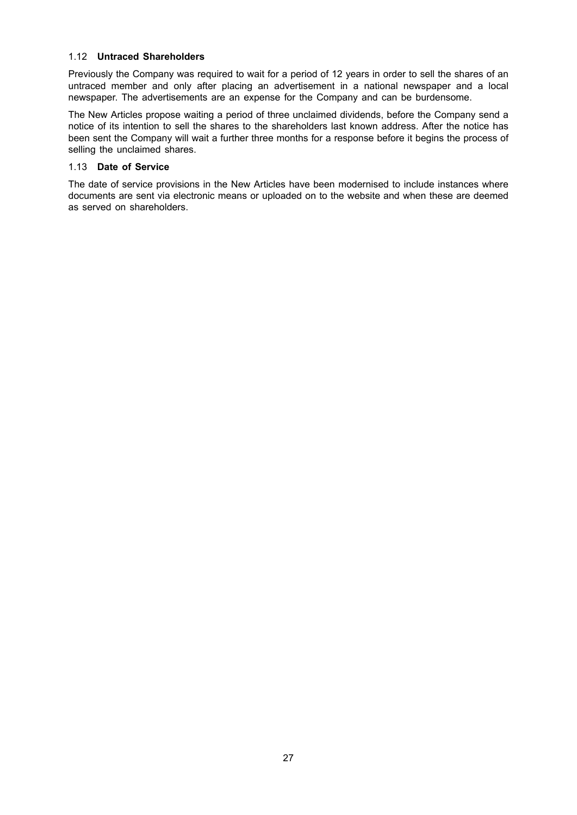#### 1.12 **Untraced Shareholders**

Previously the Company was required to wait for a period of 12 years in order to sell the shares of an untraced member and only after placing an advertisement in a national newspaper and a local newspaper. The advertisements are an expense for the Company and can be burdensome.

The New Articles propose waiting a period of three unclaimed dividends, before the Company send a notice of its intention to sell the shares to the shareholders last known address. After the notice has been sent the Company will wait a further three months for a response before it begins the process of selling the unclaimed shares.

#### 1.13 **Date of Service**

The date of service provisions in the New Articles have been modernised to include instances where documents are sent via electronic means or uploaded on to the website and when these are deemed as served on shareholders.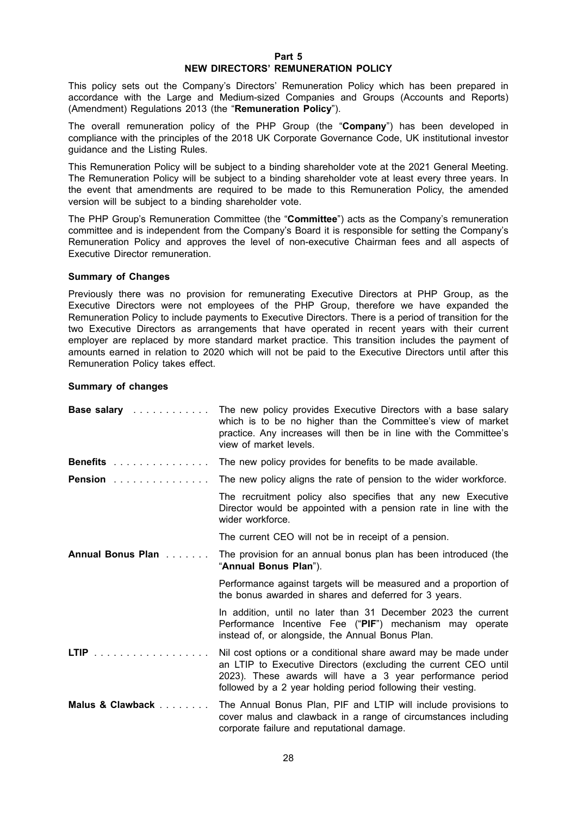#### **Part 5 NEW DIRECTORS' REMUNERATION POLICY**

This policy sets out the Company's Directors' Remuneration Policy which has been prepared in accordance with the Large and Medium-sized Companies and Groups (Accounts and Reports) (Amendment) Regulations 2013 (the "**Remuneration Policy**").

The overall remuneration policy of the PHP Group (the "**Company**") has been developed in compliance with the principles of the 2018 UK Corporate Governance Code, UK institutional investor guidance and the Listing Rules.

This Remuneration Policy will be subject to a binding shareholder vote at the 2021 General Meeting. The Remuneration Policy will be subject to a binding shareholder vote at least every three years. In the event that amendments are required to be made to this Remuneration Policy, the amended version will be subject to a binding shareholder vote.

The PHP Group's Remuneration Committee (the "**Committee**") acts as the Company's remuneration committee and is independent from the Company's Board it is responsible for setting the Company's Remuneration Policy and approves the level of non-executive Chairman fees and all aspects of Executive Director remuneration.

#### **Summary of Changes**

Previously there was no provision for remunerating Executive Directors at PHP Group, as the Executive Directors were not employees of the PHP Group, therefore we have expanded the Remuneration Policy to include payments to Executive Directors. There is a period of transition for the two Executive Directors as arrangements that have operated in recent years with their current employer are replaced by more standard market practice. This transition includes the payment of amounts earned in relation to 2020 which will not be paid to the Executive Directors until after this Remuneration Policy takes effect.

#### **Summary of changes**

| Base salary enter-the salar part of the salar services | The new policy provides Executive Directors with a base salary<br>which is to be no higher than the Committee's view of market<br>practice. Any increases will then be in line with the Committee's<br>view of market levels.                                   |
|--------------------------------------------------------|-----------------------------------------------------------------------------------------------------------------------------------------------------------------------------------------------------------------------------------------------------------------|
| <b>Benefits</b>                                        | The new policy provides for benefits to be made available.                                                                                                                                                                                                      |
| <b>Pension</b>                                         | The new policy aligns the rate of pension to the wider workforce.                                                                                                                                                                                               |
|                                                        | The recruitment policy also specifies that any new Executive<br>Director would be appointed with a pension rate in line with the<br>wider workforce.                                                                                                            |
|                                                        | The current CEO will not be in receipt of a pension.                                                                                                                                                                                                            |
| Annual Bonus Plan                                      | The provision for an annual bonus plan has been introduced (the<br>"Annual Bonus Plan").                                                                                                                                                                        |
|                                                        | Performance against targets will be measured and a proportion of<br>the bonus awarded in shares and deferred for 3 years.                                                                                                                                       |
|                                                        | In addition, until no later than 31 December 2023 the current<br>Performance Incentive Fee ("PIF") mechanism may operate<br>instead of, or alongside, the Annual Bonus Plan.                                                                                    |
| LTIP                                                   | Nil cost options or a conditional share award may be made under<br>an LTIP to Executive Directors (excluding the current CEO until<br>2023). These awards will have a 3 year performance period<br>followed by a 2 year holding period following their vesting. |
| Malus & Clawback                                       | The Annual Bonus Plan, PIF and LTIP will include provisions to<br>cover malus and clawback in a range of circumstances including<br>corporate failure and reputational damage.                                                                                  |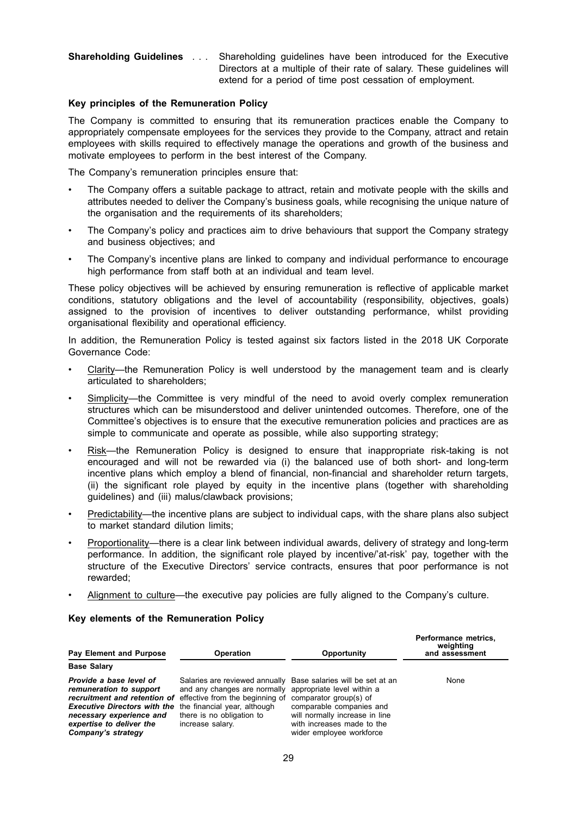#### **Shareholding Guidelines** . . . Shareholding guidelines have been introduced for the Executive Directors at a multiple of their rate of salary. These guidelines will extend for a period of time post cessation of employment.

#### **Key principles of the Remuneration Policy**

The Company is committed to ensuring that its remuneration practices enable the Company to appropriately compensate employees for the services they provide to the Company, attract and retain employees with skills required to effectively manage the operations and growth of the business and motivate employees to perform in the best interest of the Company.

The Company's remuneration principles ensure that:

- The Company offers a suitable package to attract, retain and motivate people with the skills and attributes needed to deliver the Company's business goals, while recognising the unique nature of the organisation and the requirements of its shareholders;
- The Company's policy and practices aim to drive behaviours that support the Company strategy and business objectives; and
- The Company's incentive plans are linked to company and individual performance to encourage high performance from staff both at an individual and team level.

These policy objectives will be achieved by ensuring remuneration is reflective of applicable market conditions, statutory obligations and the level of accountability (responsibility, objectives, goals) assigned to the provision of incentives to deliver outstanding performance, whilst providing organisational flexibility and operational efficiency.

In addition, the Remuneration Policy is tested against six factors listed in the 2018 UK Corporate Governance Code:

- Clarity—the Remuneration Policy is well understood by the management team and is clearly articulated to shareholders;
- Simplicity—the Committee is very mindful of the need to avoid overly complex remuneration structures which can be misunderstood and deliver unintended outcomes. Therefore, one of the Committee's objectives is to ensure that the executive remuneration policies and practices are as simple to communicate and operate as possible, while also supporting strategy;
- Risk—the Remuneration Policy is designed to ensure that inappropriate risk-taking is not encouraged and will not be rewarded via (i) the balanced use of both short- and long-term incentive plans which employ a blend of financial, non-financial and shareholder return targets, (ii) the significant role played by equity in the incentive plans (together with shareholding guidelines) and (iii) malus/clawback provisions;
- Predictability—the incentive plans are subject to individual caps, with the share plans also subject to market standard dilution limits;
- Proportionality—there is a clear link between individual awards, delivery of strategy and long-term performance. In addition, the significant role played by incentive/'at-risk' pay, together with the structure of the Executive Directors' service contracts, ensures that poor performance is not rewarded;
- Alignment to culture—the executive pay policies are fully aligned to the Company's culture.

| <b>Pay Element and Purpose</b>                                                                                                                                                                       | <b>Operation</b>                                                                                                                                                                                                | Opportunity                                                                                                                                                                  | weighting<br>and assessment |
|------------------------------------------------------------------------------------------------------------------------------------------------------------------------------------------------------|-----------------------------------------------------------------------------------------------------------------------------------------------------------------------------------------------------------------|------------------------------------------------------------------------------------------------------------------------------------------------------------------------------|-----------------------------|
| <b>Base Salary</b>                                                                                                                                                                                   |                                                                                                                                                                                                                 |                                                                                                                                                                              |                             |
| Provide a base level of<br>remuneration to support<br><b>Executive Directors with the the financial year, although</b><br>necessary experience and<br>expertise to deliver the<br>Company's strategy | Salaries are reviewed annually Base salaries will be set at an<br>and any changes are normally<br>recruitment and retention of effective from the beginning of<br>there is no obligation to<br>increase salary. | appropriate level within a<br>comparator group(s) of<br>comparable companies and<br>will normally increase in line<br>with increases made to the<br>wider employee workforce | None                        |

**Performance metrics,**

#### **Key elements of the Remuneration Policy**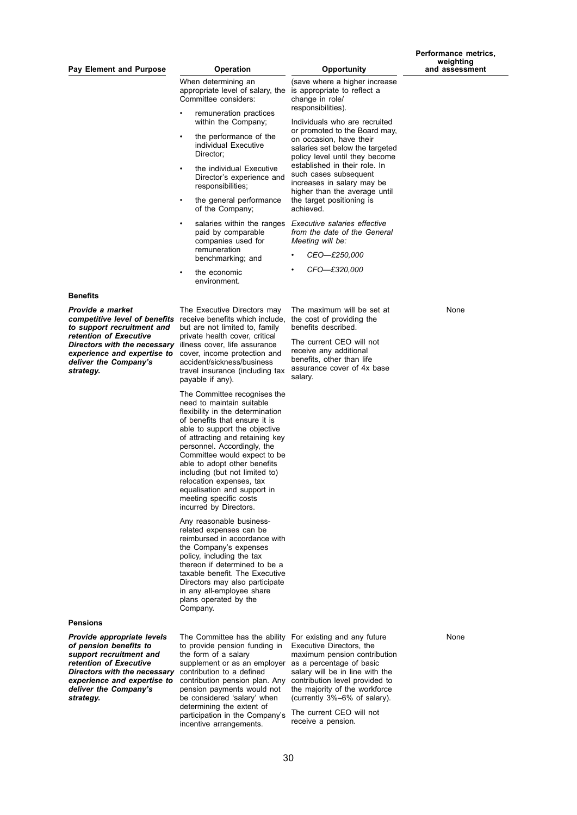When determining an appropriate level of salary, the Committee considers:

- remuneration practices within the Company;
- the performance of the individual Executive Director;
- the individual Executive Director's experience and responsibilities;
- the general performance of the Company;
- salaries within the ranges paid by comparable companies used for remuneration benchmarking; and
- the economic environment.

# (save where a higher increase

Individuals who are recruited or promoted to the Board may, on occasion, have their salaries set below the targeted policy level until they become established in their role. In such cases subsequent increases in salary may be higher than the average until the target positioning is

*Executive salaries effective from the date of the General*

> *• CEO—£250,000 • CFO—£320,000*

The maximum will be set at the cost of providing the benefits described.

The current CEO will not receive any additional benefits, other than life assurance cover of 4x base

is appropriate to reflect a

change in role/ responsibilities).

achieved.

salary.

*Meeting will be:*

**Benefits**

*Provide a market to support recruitment and retention of Executive Directors with the necessary experience and expertise to deliver the Company's strategy.*

*competitive level of benefits* receive benefits which include, The Executive Directors may but are not limited to, family private health cover, critical illness cover, life assurance cover, income protection and accident/sickness/business travel insurance (including tax payable if any).

> The Committee recognises the need to maintain suitable flexibility in the determination of benefits that ensure it is able to support the objective of attracting and retaining key personnel. Accordingly, the Committee would expect to be able to adopt other benefits including (but not limited to) relocation expenses, tax equalisation and support in meeting specific costs incurred by Directors.

> Any reasonable businessrelated expenses can be reimbursed in accordance with the Company's expenses policy, including the tax thereon if determined to be a taxable benefit. The Executive Directors may also participate in any all-employee share plans operated by the Company.

#### **Pensions**

*Provide appropriate levels of pension benefits to support recruitment and retention of Executive Directors with the necessary experience and expertise to deliver the Company's strategy.*

The Committee has the ability For existing and any future to provide pension funding in the form of a salary supplement or as an employer contribution to a defined contribution pension plan. Any pension payments would not be considered 'salary' when determining the extent of participation in the Company's incentive arrangements.

Executive Directors, the maximum pension contribution as a percentage of basic salary will be in line with the contribution level provided to the majority of the workforce (currently 3%–6% of salary).

The current CEO will not receive a pension.

None

None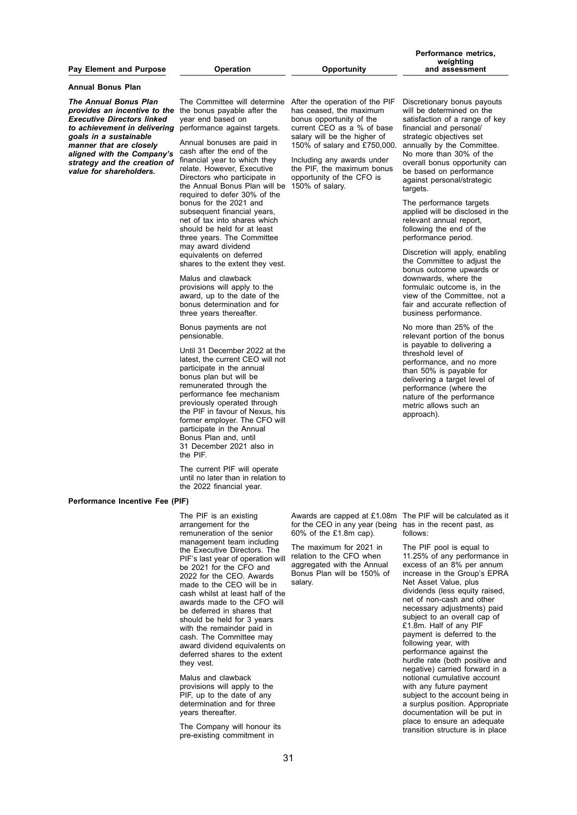#### **Pay Element and Purpose Operation Opportunity**

**Annual Bonus Plan**

*The Annual Bonus Plan provides an incentive to the* the bonus payable after the *Executive Directors linked to achievement in delivering goals in a sustainable manner that are closely aligned with the Company's strategy and the creation of value for shareholders.*

The Committee will determine After the operation of the PIF year end based on performance against targets.

Annual bonuses are paid in cash after the end of the financial year to which they relate. However, Executive Directors who participate in the Annual Bonus Plan will be required to defer 30% of the bonus for the 2021 and subsequent financial years, net of tax into shares which should be held for at least three years. The Committee may award dividend equivalents on deferred shares to the extent they vest.

Malus and clawback provisions will apply to the award, up to the date of the bonus determination and for three years thereafter.

Bonus payments are not pensionable.

Until 31 December 2022 at the latest, the current CEO will not participate in the annual bonus plan but will be remunerated through the performance fee mechanism previously operated through the PIF in favour of Nexus, his former employer. The CFO will participate in the Annual Bonus Plan and, until 31 December 2021 also in the PIF.

The current PIF will operate until no later than in relation to the 2022 financial year.

#### **Performance Incentive Fee (PIF)**

The PIF is an existing arrangement for the remuneration of the senior management team including the Executive Directors. The PIF's last year of operation will be 2021 for the CFO and 2022 for the CEO. Awards made to the CEO will be in cash whilst at least half of the awards made to the CFO will be deferred in shares that should be held for 3 years with the remainder paid in cash. The Committee may award dividend equivalents on deferred shares to the extent they vest.

Malus and clawback provisions will apply to the PIF, up to the date of any determination and for three years thereafter.

The Company will honour its pre-existing commitment in

has ceased, the maximum bonus opportunity of the current CEO as a % of base salary will be the higher of 150% of salary and £750,000.

Including any awards under the PIF, the maximum bonus opportunity of the CFO is 150% of salary.

**Performance metrics, weighting and assessment**

Discretionary bonus payouts will be determined on the satisfaction of a range of key financial and personal/ strategic objectives set annually by the Committee. No more than 30% of the overall bonus opportunity can be based on performance against personal/strategic targets.

The performance targets applied will be disclosed in the relevant annual report, following the end of the performance period.

Discretion will apply, enabling the Committee to adjust the bonus outcome upwards or downwards, where the formulaic outcome is, in the view of the Committee, not a fair and accurate reflection of business performance.

No more than 25% of the relevant portion of the bonus is payable to delivering a threshold level of performance, and no more than 50% is payable for delivering a target level of performance (where the nature of the performance metric allows such an approach).

for the CEO in any year (being has in the recent past, as 60% of the £1.8m cap).

The maximum for 2021 in relation to the CFO when aggregated with the Annual Bonus Plan will be 150% of salary.

Awards are capped at £1.08m The PIF will be calculated as it follows:

> The PIF pool is equal to 11.25% of any performance in excess of an 8% per annum increase in the Group's EPRA Net Asset Value, plus dividends (less equity raised, net of non-cash and other necessary adjustments) paid subject to an overall cap of £1.8m. Half of any PIF payment is deferred to the following year, with performance against the hurdle rate (both positive and negative) carried forward in a notional cumulative account with any future payment subject to the account being in a surplus position. Appropriate documentation will be put in place to ensure an adequate transition structure is in place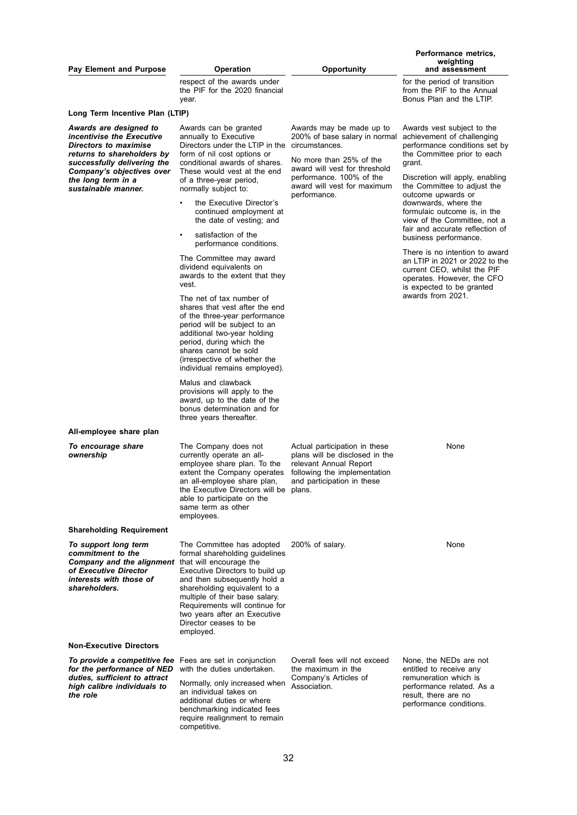|                                                                                                                                                                                                                     |                                                                                                                                                                                                                                                                                                                                               |                                                                                                                                                                                                                    | Performance metrics,                                                                                                                                                                                                                                                                                                                                                           |
|---------------------------------------------------------------------------------------------------------------------------------------------------------------------------------------------------------------------|-----------------------------------------------------------------------------------------------------------------------------------------------------------------------------------------------------------------------------------------------------------------------------------------------------------------------------------------------|--------------------------------------------------------------------------------------------------------------------------------------------------------------------------------------------------------------------|--------------------------------------------------------------------------------------------------------------------------------------------------------------------------------------------------------------------------------------------------------------------------------------------------------------------------------------------------------------------------------|
| <b>Pay Element and Purpose</b>                                                                                                                                                                                      | <b>Operation</b>                                                                                                                                                                                                                                                                                                                              | Opportunity                                                                                                                                                                                                        | weighting<br>and assessment                                                                                                                                                                                                                                                                                                                                                    |
|                                                                                                                                                                                                                     | respect of the awards under<br>the PIF for the 2020 financial<br>year.                                                                                                                                                                                                                                                                        |                                                                                                                                                                                                                    | for the period of transition<br>from the PIF to the Annual<br>Bonus Plan and the LTIP.                                                                                                                                                                                                                                                                                         |
| Long Term Incentive Plan (LTIP)                                                                                                                                                                                     |                                                                                                                                                                                                                                                                                                                                               |                                                                                                                                                                                                                    |                                                                                                                                                                                                                                                                                                                                                                                |
| Awards are designed to<br>incentivise the Executive<br>Directors to maximise<br>returns to shareholders by<br>successfully delivering the<br>Company's objectives over<br>the long term in a<br>sustainable manner. | Awards can be granted<br>annually to Executive<br>Directors under the LTIP in the<br>form of nil cost options or<br>conditional awards of shares.<br>These would vest at the end<br>of a three-year period,<br>normally subject to:<br>the Executive Director's<br>continued employment at<br>the date of vesting; and<br>satisfaction of the | Awards may be made up to<br>200% of base salary in normal<br>circumstances.<br>No more than 25% of the<br>award will vest for threshold<br>performance. 100% of the<br>award will vest for maximum<br>performance. | Awards vest subject to the<br>achievement of challenging<br>performance conditions set by<br>the Committee prior to each<br>grant.<br>Discretion will apply, enabling<br>the Committee to adjust the<br>outcome upwards or<br>downwards, where the<br>formulaic outcome is, in the<br>view of the Committee, not a<br>fair and accurate reflection of<br>business performance. |
|                                                                                                                                                                                                                     | performance conditions.<br>The Committee may award<br>dividend equivalents on<br>awards to the extent that they<br>vest.                                                                                                                                                                                                                      |                                                                                                                                                                                                                    | There is no intention to award<br>an LTIP in 2021 or 2022 to the<br>current CEO, whilst the PIF<br>operates. However, the CFO<br>is expected to be granted<br>awards from 2021.                                                                                                                                                                                                |
|                                                                                                                                                                                                                     | The net of tax number of<br>shares that vest after the end<br>of the three-year performance<br>period will be subject to an<br>additional two-year holding<br>period, during which the<br>shares cannot be sold<br>(irrespective of whether the<br>individual remains employed).                                                              |                                                                                                                                                                                                                    |                                                                                                                                                                                                                                                                                                                                                                                |
|                                                                                                                                                                                                                     | Malus and clawback<br>provisions will apply to the<br>award, up to the date of the<br>bonus determination and for<br>three years thereafter.                                                                                                                                                                                                  |                                                                                                                                                                                                                    |                                                                                                                                                                                                                                                                                                                                                                                |
| All-employee share plan                                                                                                                                                                                             |                                                                                                                                                                                                                                                                                                                                               |                                                                                                                                                                                                                    |                                                                                                                                                                                                                                                                                                                                                                                |
| To encourage share<br>ownership                                                                                                                                                                                     | The Company does not<br>currently operate an all-<br>employee share plan. To the<br>extent the Company operates<br>an all-employee share plan,<br>the Executive Directors will be plans.<br>able to participate on the<br>same term as other<br>employees.                                                                                    | Actual participation in these<br>plans will be disclosed in the<br>relevant Annual Report<br>following the implementation<br>and participation in these                                                            | None                                                                                                                                                                                                                                                                                                                                                                           |
| <b>Shareholding Requirement</b>                                                                                                                                                                                     |                                                                                                                                                                                                                                                                                                                                               |                                                                                                                                                                                                                    |                                                                                                                                                                                                                                                                                                                                                                                |
| To support long term<br>commitment to the<br><b>Company and the alignment</b> that will encourage the<br>of Executive Director<br>interests with those of<br>shareholders.                                          | The Committee has adopted<br>formal shareholding guidelines<br>Executive Directors to build up<br>and then subsequently hold a<br>shareholding equivalent to a<br>multiple of their base salary.<br>Requirements will continue for<br>two years after an Executive<br>Director ceases to be<br>employed.                                      | 200% of salary.                                                                                                                                                                                                    | None                                                                                                                                                                                                                                                                                                                                                                           |
| Non-Executive Directors                                                                                                                                                                                             |                                                                                                                                                                                                                                                                                                                                               |                                                                                                                                                                                                                    |                                                                                                                                                                                                                                                                                                                                                                                |
| <b>To provide a competitive fee</b> Fees are set in conjunction<br>for the performance of NED<br>duties, sufficient to attract<br>high calibre individuals to<br>the role                                           | with the duties undertaken.<br>Normally, only increased when<br>an individual takes on<br>additional duties or where<br>benchmarking indicated fees<br>require realignment to remain<br>competitive.                                                                                                                                          | Overall fees will not exceed<br>the maximum in the<br>Company's Articles of<br>Association.                                                                                                                        | None, the NEDs are not<br>entitled to receive any<br>remuneration which is<br>performance related. As a<br>result, there are no<br>performance conditions.                                                                                                                                                                                                                     |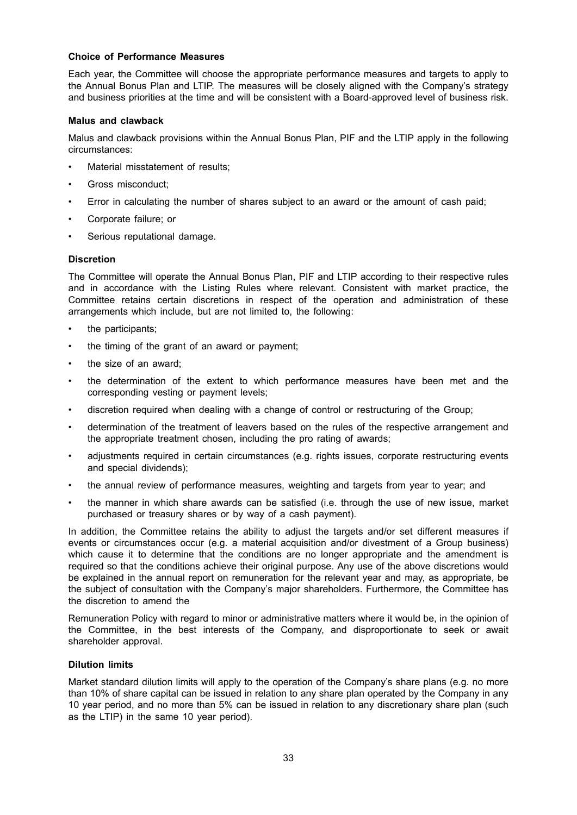#### **Choice of Performance Measures**

Each year, the Committee will choose the appropriate performance measures and targets to apply to the Annual Bonus Plan and LTIP. The measures will be closely aligned with the Company's strategy and business priorities at the time and will be consistent with a Board-approved level of business risk.

#### **Malus and clawback**

Malus and clawback provisions within the Annual Bonus Plan, PIF and the LTIP apply in the following circumstances:

- Material misstatement of results;
- Gross misconduct;
- Error in calculating the number of shares subject to an award or the amount of cash paid;
- Corporate failure; or
- Serious reputational damage.

#### **Discretion**

The Committee will operate the Annual Bonus Plan, PIF and LTIP according to their respective rules and in accordance with the Listing Rules where relevant. Consistent with market practice, the Committee retains certain discretions in respect of the operation and administration of these arrangements which include, but are not limited to, the following:

- the participants;
- the timing of the grant of an award or payment;
- the size of an award:
- the determination of the extent to which performance measures have been met and the corresponding vesting or payment levels;
- discretion required when dealing with a change of control or restructuring of the Group;
- determination of the treatment of leavers based on the rules of the respective arrangement and the appropriate treatment chosen, including the pro rating of awards;
- adjustments required in certain circumstances (e.g. rights issues, corporate restructuring events and special dividends);
- the annual review of performance measures, weighting and targets from year to year; and
- the manner in which share awards can be satisfied (i.e. through the use of new issue, market purchased or treasury shares or by way of a cash payment).

In addition, the Committee retains the ability to adjust the targets and/or set different measures if events or circumstances occur (e.g. a material acquisition and/or divestment of a Group business) which cause it to determine that the conditions are no longer appropriate and the amendment is required so that the conditions achieve their original purpose. Any use of the above discretions would be explained in the annual report on remuneration for the relevant year and may, as appropriate, be the subject of consultation with the Company's major shareholders. Furthermore, the Committee has the discretion to amend the

Remuneration Policy with regard to minor or administrative matters where it would be, in the opinion of the Committee, in the best interests of the Company, and disproportionate to seek or await shareholder approval.

#### **Dilution limits**

Market standard dilution limits will apply to the operation of the Company's share plans (e.g. no more than 10% of share capital can be issued in relation to any share plan operated by the Company in any 10 year period, and no more than 5% can be issued in relation to any discretionary share plan (such as the LTIP) in the same 10 year period).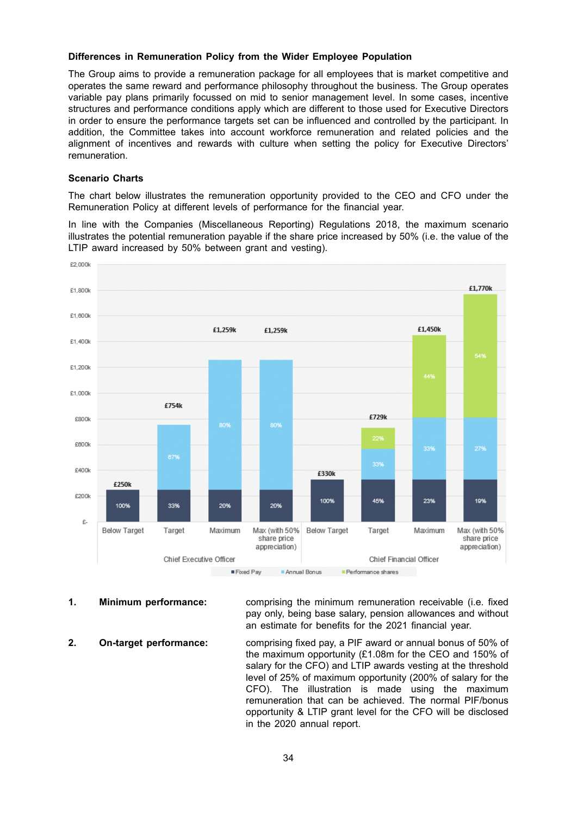#### **Differences in Remuneration Policy from the Wider Employee Population**

The Group aims to provide a remuneration package for all employees that is market competitive and operates the same reward and performance philosophy throughout the business. The Group operates variable pay plans primarily focussed on mid to senior management level. In some cases, incentive structures and performance conditions apply which are different to those used for Executive Directors in order to ensure the performance targets set can be influenced and controlled by the participant. In addition, the Committee takes into account workforce remuneration and related policies and the alignment of incentives and rewards with culture when setting the policy for Executive Directors' remuneration.

#### **Scenario Charts**

The chart below illustrates the remuneration opportunity provided to the CEO and CFO under the Remuneration Policy at different levels of performance for the financial year.

In line with the Companies (Miscellaneous Reporting) Regulations 2018, the maximum scenario illustrates the potential remuneration payable if the share price increased by 50% (i.e. the value of the LTIP award increased by 50% between grant and vesting).



**1. Minimum performance:** comprising the minimum remuneration receivable (i.e. fixed pay only, being base salary, pension allowances and without an estimate for benefits for the 2021 financial year.

**2. On-target performance:** comprising fixed pay, a PIF award or annual bonus of 50% of the maximum opportunity (£1.08m for the CEO and 150% of salary for the CFO) and LTIP awards vesting at the threshold level of 25% of maximum opportunity (200% of salary for the CFO). The illustration is made using the maximum remuneration that can be achieved. The normal PIF/bonus opportunity & LTIP grant level for the CFO will be disclosed in the 2020 annual report.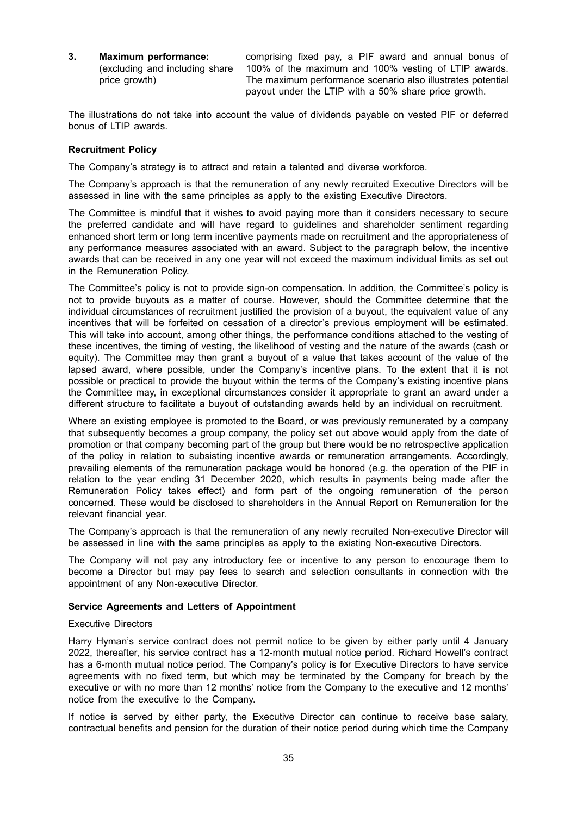**3. Maximum performance:** (excluding and including share price growth)

comprising fixed pay, a PIF award and annual bonus of 100% of the maximum and 100% vesting of LTIP awards. The maximum performance scenario also illustrates potential payout under the LTIP with a 50% share price growth.

The illustrations do not take into account the value of dividends payable on vested PIF or deferred bonus of LTIP awards.

#### **Recruitment Policy**

The Company's strategy is to attract and retain a talented and diverse workforce.

The Company's approach is that the remuneration of any newly recruited Executive Directors will be assessed in line with the same principles as apply to the existing Executive Directors.

The Committee is mindful that it wishes to avoid paying more than it considers necessary to secure the preferred candidate and will have regard to guidelines and shareholder sentiment regarding enhanced short term or long term incentive payments made on recruitment and the appropriateness of any performance measures associated with an award. Subject to the paragraph below, the incentive awards that can be received in any one year will not exceed the maximum individual limits as set out in the Remuneration Policy.

The Committee's policy is not to provide sign-on compensation. In addition, the Committee's policy is not to provide buyouts as a matter of course. However, should the Committee determine that the individual circumstances of recruitment justified the provision of a buyout, the equivalent value of any incentives that will be forfeited on cessation of a director's previous employment will be estimated. This will take into account, among other things, the performance conditions attached to the vesting of these incentives, the timing of vesting, the likelihood of vesting and the nature of the awards (cash or equity). The Committee may then grant a buyout of a value that takes account of the value of the lapsed award, where possible, under the Company's incentive plans. To the extent that it is not possible or practical to provide the buyout within the terms of the Company's existing incentive plans the Committee may, in exceptional circumstances consider it appropriate to grant an award under a different structure to facilitate a buyout of outstanding awards held by an individual on recruitment.

Where an existing employee is promoted to the Board, or was previously remunerated by a company that subsequently becomes a group company, the policy set out above would apply from the date of promotion or that company becoming part of the group but there would be no retrospective application of the policy in relation to subsisting incentive awards or remuneration arrangements. Accordingly, prevailing elements of the remuneration package would be honored (e.g. the operation of the PIF in relation to the year ending 31 December 2020, which results in payments being made after the Remuneration Policy takes effect) and form part of the ongoing remuneration of the person concerned. These would be disclosed to shareholders in the Annual Report on Remuneration for the relevant financial year.

The Company's approach is that the remuneration of any newly recruited Non-executive Director will be assessed in line with the same principles as apply to the existing Non-executive Directors.

The Company will not pay any introductory fee or incentive to any person to encourage them to become a Director but may pay fees to search and selection consultants in connection with the appointment of any Non-executive Director.

#### **Service Agreements and Letters of Appointment**

## Executive Directors

Harry Hyman's service contract does not permit notice to be given by either party until 4 January 2022, thereafter, his service contract has a 12-month mutual notice period. Richard Howell's contract has a 6-month mutual notice period. The Company's policy is for Executive Directors to have service agreements with no fixed term, but which may be terminated by the Company for breach by the executive or with no more than 12 months' notice from the Company to the executive and 12 months' notice from the executive to the Company.

If notice is served by either party, the Executive Director can continue to receive base salary, contractual benefits and pension for the duration of their notice period during which time the Company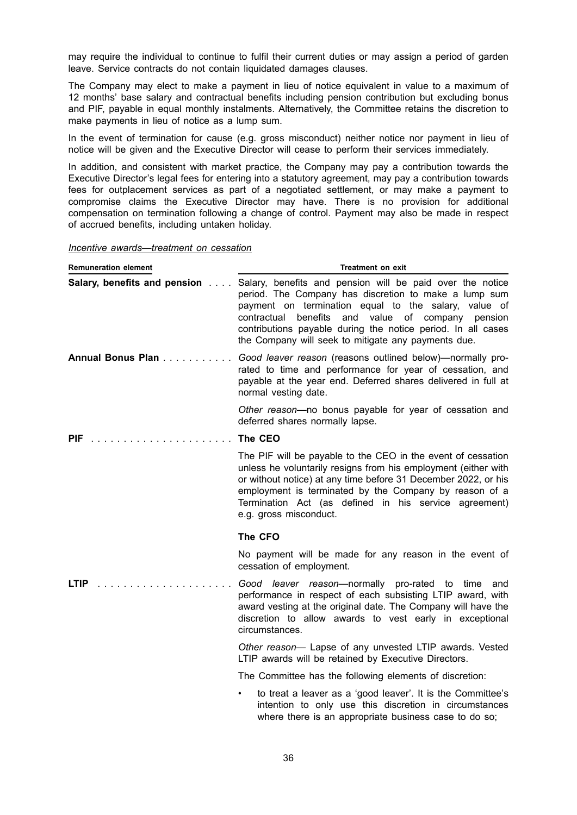may require the individual to continue to fulfil their current duties or may assign a period of garden leave. Service contracts do not contain liquidated damages clauses.

The Company may elect to make a payment in lieu of notice equivalent in value to a maximum of 12 months' base salary and contractual benefits including pension contribution but excluding bonus and PIF, payable in equal monthly instalments. Alternatively, the Committee retains the discretion to make payments in lieu of notice as a lump sum.

In the event of termination for cause (e.g. gross misconduct) neither notice nor payment in lieu of notice will be given and the Executive Director will cease to perform their services immediately.

In addition, and consistent with market practice, the Company may pay a contribution towards the Executive Director's legal fees for entering into a statutory agreement, may pay a contribution towards fees for outplacement services as part of a negotiated settlement, or may make a payment to compromise claims the Executive Director may have. There is no provision for additional compensation on termination following a change of control. Payment may also be made in respect of accrued benefits, including untaken holiday.

*Incentive awards—treatment on cessation*

| <b>Remuneration element</b>  | <b>Treatment on exit</b>                                                                                                                                                                                                                                                                                                                                     |
|------------------------------|--------------------------------------------------------------------------------------------------------------------------------------------------------------------------------------------------------------------------------------------------------------------------------------------------------------------------------------------------------------|
| Salary, benefits and pension | Salary, benefits and pension will be paid over the notice<br>period. The Company has discretion to make a lump sum<br>payment on termination equal to the salary, value of<br>value of company pension<br>contractual benefits<br>and<br>contributions payable during the notice period. In all cases<br>the Company will seek to mitigate any payments due. |
| Annual Bonus Plan            | Good leaver reason (reasons outlined below)—normally pro-<br>rated to time and performance for year of cessation, and<br>payable at the year end. Deferred shares delivered in full at<br>normal vesting date.                                                                                                                                               |
|                              | Other reason-no bonus payable for year of cessation and<br>deferred shares normally lapse.                                                                                                                                                                                                                                                                   |
| <b>PIF</b>                   | The CEO                                                                                                                                                                                                                                                                                                                                                      |
|                              | The PIF will be payable to the CEO in the event of cessation<br>unless he voluntarily resigns from his employment (either with<br>or without notice) at any time before 31 December 2022, or his<br>employment is terminated by the Company by reason of a<br>Termination Act (as defined in his service agreement)<br>e.g. gross misconduct.                |
|                              | The CFO                                                                                                                                                                                                                                                                                                                                                      |
|                              | No payment will be made for any reason in the event of<br>cessation of employment.                                                                                                                                                                                                                                                                           |
| LTIP                         | Good leaver reason-normally pro-rated to time and<br>performance in respect of each subsisting LTIP award, with<br>award vesting at the original date. The Company will have the<br>discretion to allow awards to vest early in exceptional<br>circumstances.                                                                                                |
|                              | Other reason- Lapse of any unvested LTIP awards. Vested<br>LTIP awards will be retained by Executive Directors.                                                                                                                                                                                                                                              |
|                              | The Committee has the following elements of discretion:                                                                                                                                                                                                                                                                                                      |
|                              | to treat a leaver as a 'good leaver'. It is the Committee's<br>intention to only use this discretion in circumstances                                                                                                                                                                                                                                        |

where there is an appropriate business case to do so;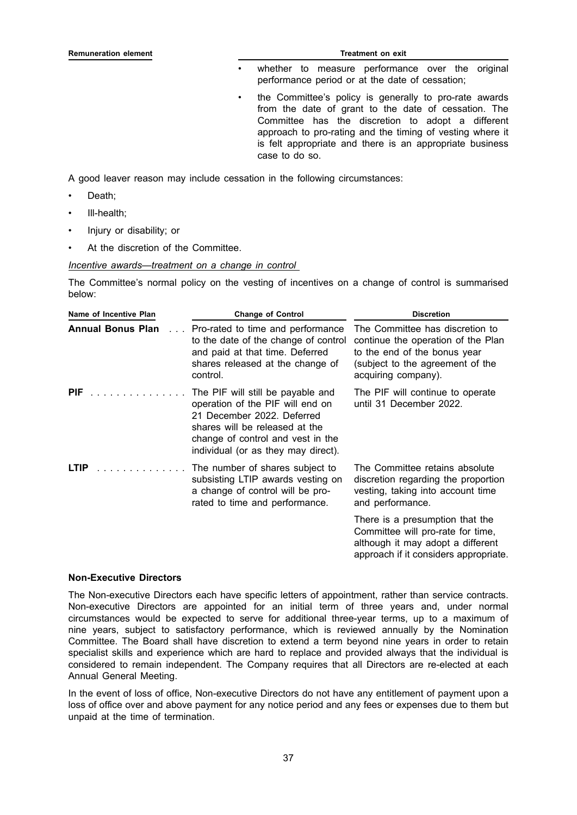#### **Remuneration element Treatment on exit**

- whether to measure performance over the original performance period or at the date of cessation;
- the Committee's policy is generally to pro-rate awards from the date of grant to the date of cessation. The Committee has the discretion to adopt a different approach to pro-rating and the timing of vesting where it is felt appropriate and there is an appropriate business case to do so.

A good leaver reason may include cessation in the following circumstances:

- Death:
- Ill-health;
- Injury or disability; or
- At the discretion of the Committee.

#### *Incentive awards—treatment on a change in control*

The Committee's normal policy on the vesting of incentives on a change of control is summarised below:

| Name of Incentive Plan               | <b>Change of Control</b>                                                                                                                                                                                          | <b>Discretion</b>                                                                                                                                                |
|--------------------------------------|-------------------------------------------------------------------------------------------------------------------------------------------------------------------------------------------------------------------|------------------------------------------------------------------------------------------------------------------------------------------------------------------|
| <b>Annual Bonus Plan</b><br>$\cdots$ | Pro-rated to time and performance<br>to the date of the change of control<br>and paid at that time. Deferred<br>shares released at the change of<br>control.                                                      | The Committee has discretion to<br>continue the operation of the Plan<br>to the end of the bonus year<br>(subject to the agreement of the<br>acquiring company). |
| .<br><b>PIF</b>                      | The PIF will still be payable and<br>operation of the PIF will end on<br>21 December 2022. Deferred<br>shares will be released at the<br>change of control and vest in the<br>individual (or as they may direct). | The PIF will continue to operate<br>until 31 December 2022.                                                                                                      |
| <b>LTIP</b>                          | The number of shares subject to<br>subsisting LTIP awards vesting on<br>a change of control will be pro-<br>rated to time and performance.                                                                        | The Committee retains absolute<br>discretion regarding the proportion<br>vesting, taking into account time<br>and performance.                                   |
|                                      |                                                                                                                                                                                                                   | There is a presumption that the<br>Committee will pro-rate for time,<br>although it may adopt a different<br>approach if it considers appropriate.               |

#### **Non-Executive Directors**

The Non-executive Directors each have specific letters of appointment, rather than service contracts. Non-executive Directors are appointed for an initial term of three years and, under normal circumstances would be expected to serve for additional three-year terms, up to a maximum of nine years, subject to satisfactory performance, which is reviewed annually by the Nomination Committee. The Board shall have discretion to extend a term beyond nine years in order to retain specialist skills and experience which are hard to replace and provided always that the individual is considered to remain independent. The Company requires that all Directors are re-elected at each Annual General Meeting.

In the event of loss of office, Non-executive Directors do not have any entitlement of payment upon a loss of office over and above payment for any notice period and any fees or expenses due to them but unpaid at the time of termination.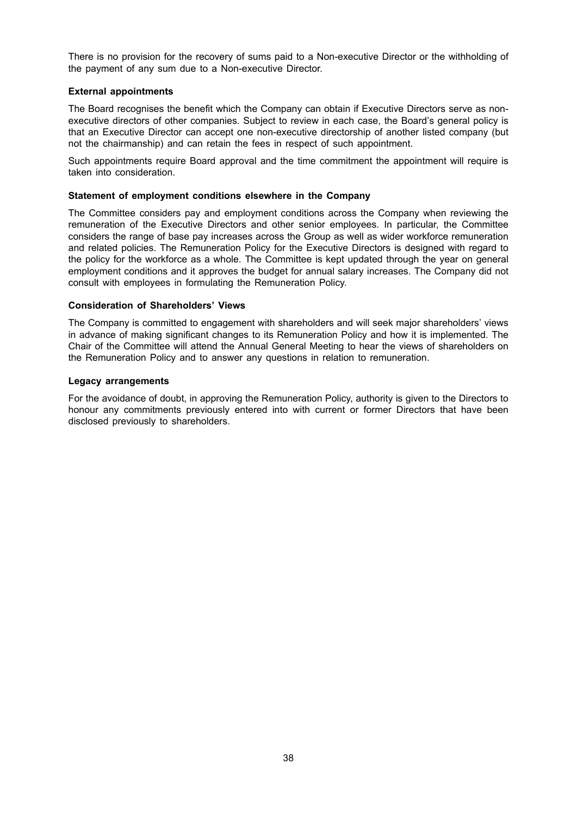There is no provision for the recovery of sums paid to a Non-executive Director or the withholding of the payment of any sum due to a Non-executive Director.

#### **External appointments**

The Board recognises the benefit which the Company can obtain if Executive Directors serve as nonexecutive directors of other companies. Subject to review in each case, the Board's general policy is that an Executive Director can accept one non-executive directorship of another listed company (but not the chairmanship) and can retain the fees in respect of such appointment.

Such appointments require Board approval and the time commitment the appointment will require is taken into consideration.

#### **Statement of employment conditions elsewhere in the Company**

The Committee considers pay and employment conditions across the Company when reviewing the remuneration of the Executive Directors and other senior employees. In particular, the Committee considers the range of base pay increases across the Group as well as wider workforce remuneration and related policies. The Remuneration Policy for the Executive Directors is designed with regard to the policy for the workforce as a whole. The Committee is kept updated through the year on general employment conditions and it approves the budget for annual salary increases. The Company did not consult with employees in formulating the Remuneration Policy.

#### **Consideration of Shareholders' Views**

The Company is committed to engagement with shareholders and will seek major shareholders' views in advance of making significant changes to its Remuneration Policy and how it is implemented. The Chair of the Committee will attend the Annual General Meeting to hear the views of shareholders on the Remuneration Policy and to answer any questions in relation to remuneration.

#### **Legacy arrangements**

For the avoidance of doubt, in approving the Remuneration Policy, authority is given to the Directors to honour any commitments previously entered into with current or former Directors that have been disclosed previously to shareholders.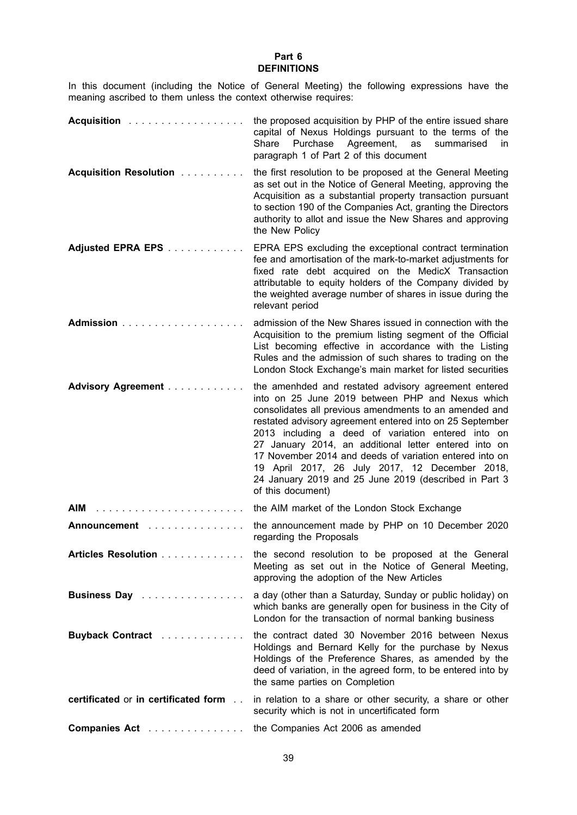#### **Part 6 DEFINITIONS**

In this document (including the Notice of General Meeting) the following expressions have the meaning ascribed to them unless the context otherwise requires:

| Acquisition                          | the proposed acquisition by PHP of the entire issued share<br>capital of Nexus Holdings pursuant to the terms of the<br>Purchase<br>Agreement,<br>as<br>Share<br>summarised<br>in.<br>paragraph 1 of Part 2 of this document                                                                                                                                                                                                                                                                                                             |
|--------------------------------------|------------------------------------------------------------------------------------------------------------------------------------------------------------------------------------------------------------------------------------------------------------------------------------------------------------------------------------------------------------------------------------------------------------------------------------------------------------------------------------------------------------------------------------------|
| <b>Acquisition Resolution </b>       | the first resolution to be proposed at the General Meeting<br>as set out in the Notice of General Meeting, approving the<br>Acquisition as a substantial property transaction pursuant<br>to section 190 of the Companies Act, granting the Directors<br>authority to allot and issue the New Shares and approving<br>the New Policy                                                                                                                                                                                                     |
| Adjusted EPRA EPS                    | EPRA EPS excluding the exceptional contract termination<br>fee and amortisation of the mark-to-market adjustments for<br>fixed rate debt acquired on the MedicX Transaction<br>attributable to equity holders of the Company divided by<br>the weighted average number of shares in issue during the<br>relevant period                                                                                                                                                                                                                  |
| Admission                            | admission of the New Shares issued in connection with the<br>Acquisition to the premium listing segment of the Official<br>List becoming effective in accordance with the Listing<br>Rules and the admission of such shares to trading on the<br>London Stock Exchange's main market for listed securities                                                                                                                                                                                                                               |
| <b>Advisory Agreement </b>           | the amenhded and restated advisory agreement entered<br>into on 25 June 2019 between PHP and Nexus which<br>consolidates all previous amendments to an amended and<br>restated advisory agreement entered into on 25 September<br>2013 including a deed of variation entered into on<br>27 January 2014, an additional letter entered into on<br>17 November 2014 and deeds of variation entered into on<br>19 April 2017, 26 July 2017, 12 December 2018,<br>24 January 2019 and 25 June 2019 (described in Part 3<br>of this document) |
| AIM                                  | the AIM market of the London Stock Exchange                                                                                                                                                                                                                                                                                                                                                                                                                                                                                              |
| <b>Announcement</b>                  | the announcement made by PHP on 10 December 2020<br>regarding the Proposals                                                                                                                                                                                                                                                                                                                                                                                                                                                              |
| Articles Resolution                  | the second resolution to be proposed at the General<br>Meeting as set out in the Notice of General Meeting,<br>approving the adoption of the New Articles                                                                                                                                                                                                                                                                                                                                                                                |
| Business Day                         | a day (other than a Saturday, Sunday or public holiday) on<br>which banks are generally open for business in the City of<br>London for the transaction of normal banking business                                                                                                                                                                                                                                                                                                                                                        |
| Buyback Contract                     | the contract dated 30 November 2016 between Nexus<br>Holdings and Bernard Kelly for the purchase by Nexus<br>Holdings of the Preference Shares, as amended by the<br>deed of variation, in the agreed form, to be entered into by<br>the same parties on Completion                                                                                                                                                                                                                                                                      |
| certificated or in certificated form | in relation to a share or other security, a share or other<br>security which is not in uncertificated form                                                                                                                                                                                                                                                                                                                                                                                                                               |
| Companies Act                        | the Companies Act 2006 as amended                                                                                                                                                                                                                                                                                                                                                                                                                                                                                                        |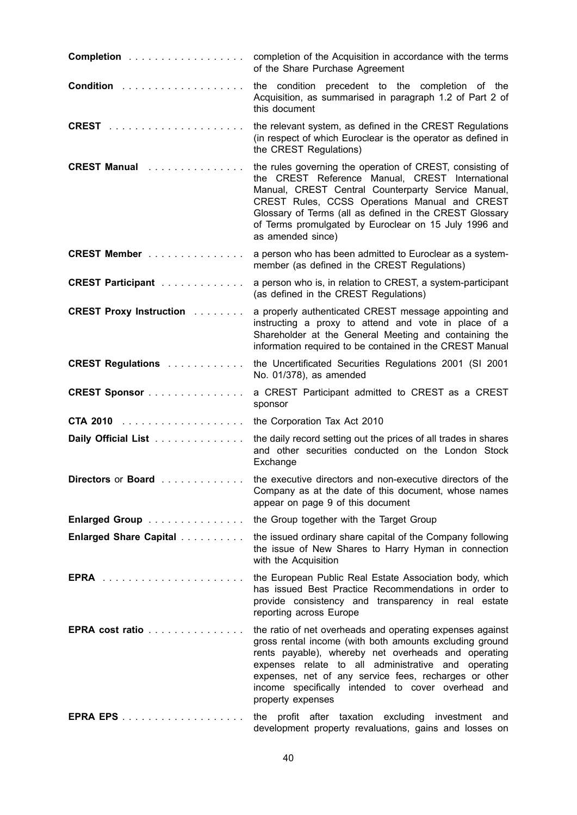| Completion                                    | completion of the Acquisition in accordance with the terms<br>of the Share Purchase Agreement                                                                                                                                                                                                                                                                          |
|-----------------------------------------------|------------------------------------------------------------------------------------------------------------------------------------------------------------------------------------------------------------------------------------------------------------------------------------------------------------------------------------------------------------------------|
|                                               | precedent to the completion of the<br>the condition<br>Acquisition, as summarised in paragraph 1.2 of Part 2 of<br>this document                                                                                                                                                                                                                                       |
|                                               | the relevant system, as defined in the CREST Regulations<br>(in respect of which Euroclear is the operator as defined in<br>the CREST Regulations)                                                                                                                                                                                                                     |
| <b>CREST Manual</b>                           | the rules governing the operation of CREST, consisting of<br>the CREST Reference Manual, CREST International<br>Manual, CREST Central Counterparty Service Manual,<br>CREST Rules, CCSS Operations Manual and CREST<br>Glossary of Terms (all as defined in the CREST Glossary<br>of Terms promulgated by Euroclear on 15 July 1996 and<br>as amended since)           |
| <b>CREST Member</b>                           | a person who has been admitted to Euroclear as a system-<br>member (as defined in the CREST Regulations)                                                                                                                                                                                                                                                               |
| <b>CREST Participant</b>                      | a person who is, in relation to CREST, a system-participant<br>(as defined in the CREST Regulations)                                                                                                                                                                                                                                                                   |
| <b>CREST Proxy Instruction Administration</b> | a properly authenticated CREST message appointing and<br>instructing a proxy to attend and vote in place of a<br>Shareholder at the General Meeting and containing the<br>information required to be contained in the CREST Manual                                                                                                                                     |
| <b>CREST Regulations </b>                     | the Uncertificated Securities Regulations 2001 (SI 2001<br>No. 01/378), as amended                                                                                                                                                                                                                                                                                     |
| <b>CREST Sponsor</b>                          | a CREST Participant admitted to CREST as a CREST<br>sponsor                                                                                                                                                                                                                                                                                                            |
|                                               | the Corporation Tax Act 2010                                                                                                                                                                                                                                                                                                                                           |
| Daily Official List                           | the daily record setting out the prices of all trades in shares<br>and other securities conducted on the London Stock<br>Exchange                                                                                                                                                                                                                                      |
| Directors or Board                            | the executive directors and non-executive directors of the<br>Company as at the date of this document, whose names<br>appear on page 9 of this document                                                                                                                                                                                                                |
| Enlarged Group                                | the Group together with the Target Group                                                                                                                                                                                                                                                                                                                               |
| <b>Enlarged Share Capital </b>                | the issued ordinary share capital of the Company following<br>the issue of New Shares to Harry Hyman in connection<br>with the Acquisition                                                                                                                                                                                                                             |
|                                               | the European Public Real Estate Association body, which<br>has issued Best Practice Recommendations in order to<br>provide consistency and transparency in real estate<br>reporting across Europe                                                                                                                                                                      |
| EPRA cost ratio                               | the ratio of net overheads and operating expenses against<br>gross rental income (with both amounts excluding ground<br>rents payable), whereby net overheads and operating<br>expenses relate to all administrative and operating<br>expenses, net of any service fees, recharges or other<br>income specifically intended to cover overhead and<br>property expenses |
|                                               | the profit after taxation excluding investment and<br>development property revaluations, gains and losses on                                                                                                                                                                                                                                                           |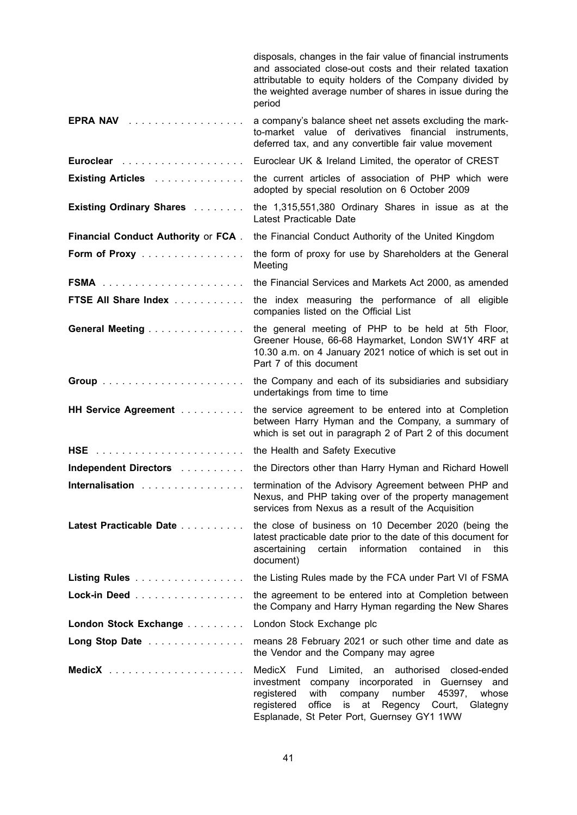|                                     | disposals, changes in the fair value of financial instruments<br>and associated close-out costs and their related taxation<br>attributable to equity holders of the Company divided by<br>the weighted average number of shares in issue during the<br>period           |
|-------------------------------------|-------------------------------------------------------------------------------------------------------------------------------------------------------------------------------------------------------------------------------------------------------------------------|
| EPRA NAV                            | a company's balance sheet net assets excluding the mark-<br>to-market value of derivatives financial instruments,<br>deferred tax, and any convertible fair value movement                                                                                              |
|                                     | Euroclear UK & Ireland Limited, the operator of CREST                                                                                                                                                                                                                   |
| Existing Articles                   | the current articles of association of PHP which were<br>adopted by special resolution on 6 October 2009                                                                                                                                                                |
| <b>Existing Ordinary Shares </b>    | the 1,315,551,380 Ordinary Shares in issue as at the<br>Latest Practicable Date                                                                                                                                                                                         |
| Financial Conduct Authority or FCA. | the Financial Conduct Authority of the United Kingdom                                                                                                                                                                                                                   |
| Form of Proxy                       | the form of proxy for use by Shareholders at the General<br>Meeting                                                                                                                                                                                                     |
|                                     | the Financial Services and Markets Act 2000, as amended                                                                                                                                                                                                                 |
| FTSE All Share Index                | the index measuring the performance of all eligible<br>companies listed on the Official List                                                                                                                                                                            |
| General Meeting                     | the general meeting of PHP to be held at 5th Floor,<br>Greener House, 66-68 Haymarket, London SW1Y 4RF at<br>10.30 a.m. on 4 January 2021 notice of which is set out in<br>Part 7 of this document                                                                      |
|                                     | the Company and each of its subsidiaries and subsidiary<br>undertakings from time to time                                                                                                                                                                               |
| HH Service Agreement                | the service agreement to be entered into at Completion<br>between Harry Hyman and the Company, a summary of<br>which is set out in paragraph 2 of Part 2 of this document                                                                                               |
|                                     | the Health and Safety Executive                                                                                                                                                                                                                                         |
| Independent Directors               | the Directors other than Harry Hyman and Richard Howell                                                                                                                                                                                                                 |
| Internalisation                     | termination of the Advisory Agreement between PHP and<br>Nexus, and PHP taking over of the property management<br>services from Nexus as a result of the Acquisition                                                                                                    |
| Latest Practicable Date             | the close of business on 10 December 2020 (being the<br>latest practicable date prior to the date of this document for<br>ascertaining<br>certain information<br>contained<br>this<br>in<br>document)                                                                   |
| Listing Rules                       | the Listing Rules made by the FCA under Part VI of FSMA                                                                                                                                                                                                                 |
| Lock-in Deed                        | the agreement to be entered into at Completion between<br>the Company and Harry Hyman regarding the New Shares                                                                                                                                                          |
| London Stock Exchange               | London Stock Exchange plc                                                                                                                                                                                                                                               |
| Long Stop Date                      | means 28 February 2021 or such other time and date as<br>the Vendor and the Company may agree                                                                                                                                                                           |
|                                     | MedicX Fund Limited, an authorised closed-ended<br>investment company incorporated in Guernsey and<br>with<br>company<br>number<br>45397,<br>registered<br>whose<br>office is at Regency Court,<br>registered<br>Glategny<br>Esplanade, St Peter Port, Guernsey GY1 1WW |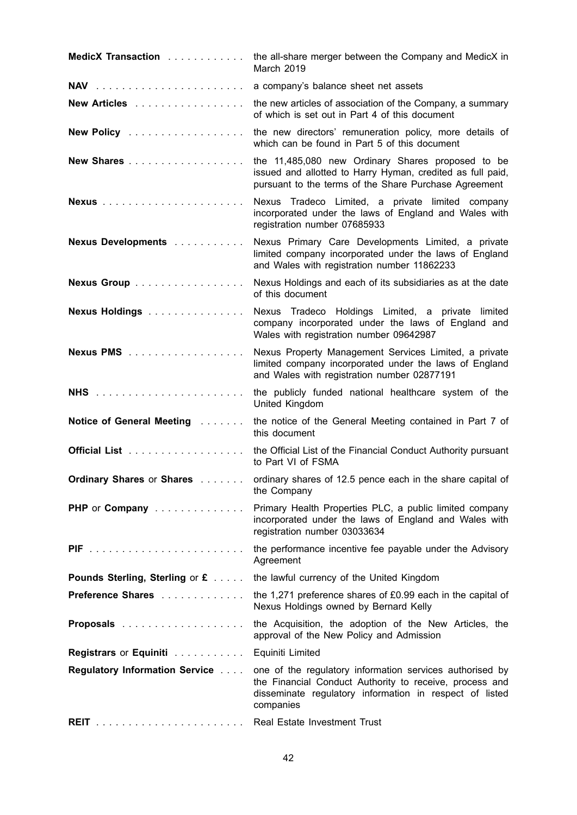| MedicX Transaction                     | the all-share merger between the Company and MedicX in<br>March 2019                                                                                                                        |
|----------------------------------------|---------------------------------------------------------------------------------------------------------------------------------------------------------------------------------------------|
|                                        | a company's balance sheet net assets                                                                                                                                                        |
| New Articles                           | the new articles of association of the Company, a summary<br>of which is set out in Part 4 of this document                                                                                 |
| New Policy                             | the new directors' remuneration policy, more details of<br>which can be found in Part 5 of this document                                                                                    |
| New Shares                             | the 11,485,080 new Ordinary Shares proposed to be<br>issued and allotted to Harry Hyman, credited as full paid,<br>pursuant to the terms of the Share Purchase Agreement                    |
|                                        | Nexus Tradeco Limited, a private limited company<br>incorporated under the laws of England and Wales with<br>registration number 07685933                                                   |
| Nexus Developments                     | Nexus Primary Care Developments Limited, a private<br>limited company incorporated under the laws of England<br>and Wales with registration number 11862233                                 |
| Nexus Group                            | Nexus Holdings and each of its subsidiaries as at the date<br>of this document                                                                                                              |
| Nexus Holdings                         | Nexus Tradeco Holdings Limited, a private limited<br>company incorporated under the laws of England and<br>Wales with registration number 09642987                                          |
| Nexus PMS                              | Nexus Property Management Services Limited, a private<br>limited company incorporated under the laws of England<br>and Wales with registration number 02877191                              |
|                                        | the publicly funded national healthcare system of the<br>United Kingdom                                                                                                                     |
| Notice of General Meeting              | the notice of the General Meeting contained in Part 7 of<br>this document                                                                                                                   |
|                                        | the Official List of the Financial Conduct Authority pursuant<br>to Part VI of FSMA                                                                                                         |
| <b>Ordinary Shares or Shares </b>      | ordinary shares of 12.5 pence each in the share capital of<br>the Company                                                                                                                   |
| PHP or Company                         | Primary Health Properties PLC, a public limited company<br>incorporated under the laws of England and Wales with<br>registration number 03033634                                            |
|                                        | the performance incentive fee payable under the Advisory<br>Agreement                                                                                                                       |
| Pounds Sterling, Sterling or £         | the lawful currency of the United Kingdom                                                                                                                                                   |
| Preference Shares                      | the 1,271 preference shares of £0.99 each in the capital of<br>Nexus Holdings owned by Bernard Kelly                                                                                        |
|                                        | the Acquisition, the adoption of the New Articles, the<br>approval of the New Policy and Admission                                                                                          |
| Registrars or Equiniti                 | Equiniti Limited                                                                                                                                                                            |
| <b>Regulatory Information Service </b> | one of the regulatory information services authorised by<br>the Financial Conduct Authority to receive, process and<br>disseminate regulatory information in respect of listed<br>companies |
|                                        | Real Estate Investment Trust                                                                                                                                                                |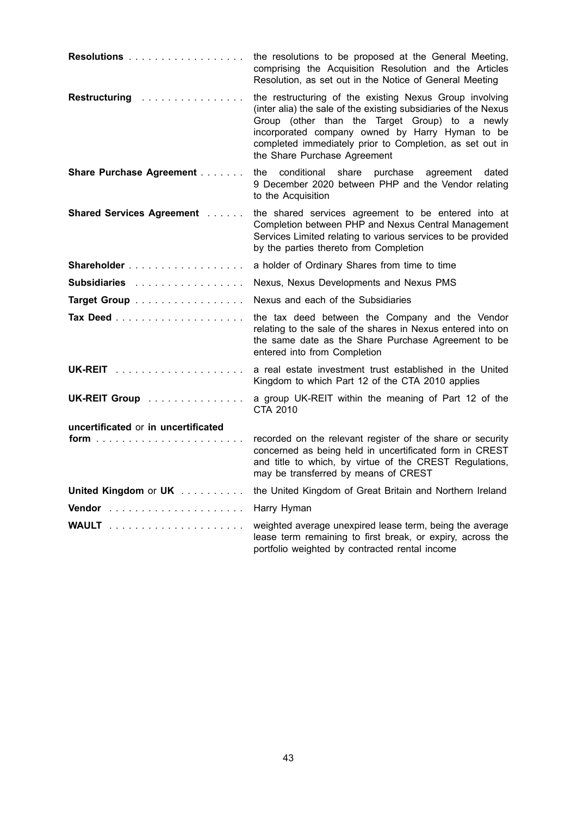| Resolutions                              | the resolutions to be proposed at the General Meeting,<br>comprising the Acquisition Resolution and the Articles<br>Resolution, as set out in the Notice of General Meeting                                                                                                                                                 |
|------------------------------------------|-----------------------------------------------------------------------------------------------------------------------------------------------------------------------------------------------------------------------------------------------------------------------------------------------------------------------------|
| Restructuring                            | the restructuring of the existing Nexus Group involving<br>(inter alia) the sale of the existing subsidiaries of the Nexus<br>Group (other than the Target Group) to a newly<br>incorporated company owned by Harry Hyman to be<br>completed immediately prior to Completion, as set out in<br>the Share Purchase Agreement |
| Share Purchase Agreement                 | the<br>conditional share purchase<br>dated<br>agreement<br>9 December 2020 between PHP and the Vendor relating<br>to the Acquisition                                                                                                                                                                                        |
| <b>Shared Services Agreement Albeman</b> | the shared services agreement to be entered into at<br>Completion between PHP and Nexus Central Management<br>Services Limited relating to various services to be provided<br>by the parties thereto from Completion                                                                                                        |
|                                          | a holder of Ordinary Shares from time to time                                                                                                                                                                                                                                                                               |
| <b>Subsidiaries</b>                      | Nexus, Nexus Developments and Nexus PMS                                                                                                                                                                                                                                                                                     |
| Target Group                             | Nexus and each of the Subsidiaries                                                                                                                                                                                                                                                                                          |
|                                          | the tax deed between the Company and the Vendor<br>relating to the sale of the shares in Nexus entered into on<br>the same date as the Share Purchase Agreement to be<br>entered into from Completion                                                                                                                       |
|                                          | a real estate investment trust established in the United<br>Kingdom to which Part 12 of the CTA 2010 applies                                                                                                                                                                                                                |
| UK-REIT Group                            | a group UK-REIT within the meaning of Part 12 of the<br>CTA 2010                                                                                                                                                                                                                                                            |
| uncertificated or in uncertificated      |                                                                                                                                                                                                                                                                                                                             |
|                                          | recorded on the relevant register of the share or security<br>concerned as being held in uncertificated form in CREST<br>and title to which, by virtue of the CREST Regulations,<br>may be transferred by means of CREST                                                                                                    |
| United Kingdom or UK                     | the United Kingdom of Great Britain and Northern Ireland                                                                                                                                                                                                                                                                    |
|                                          | Harry Hyman                                                                                                                                                                                                                                                                                                                 |
|                                          | weighted average unexpired lease term, being the average<br>lease term remaining to first break, or expiry, across the<br>portfolio weighted by contracted rental income                                                                                                                                                    |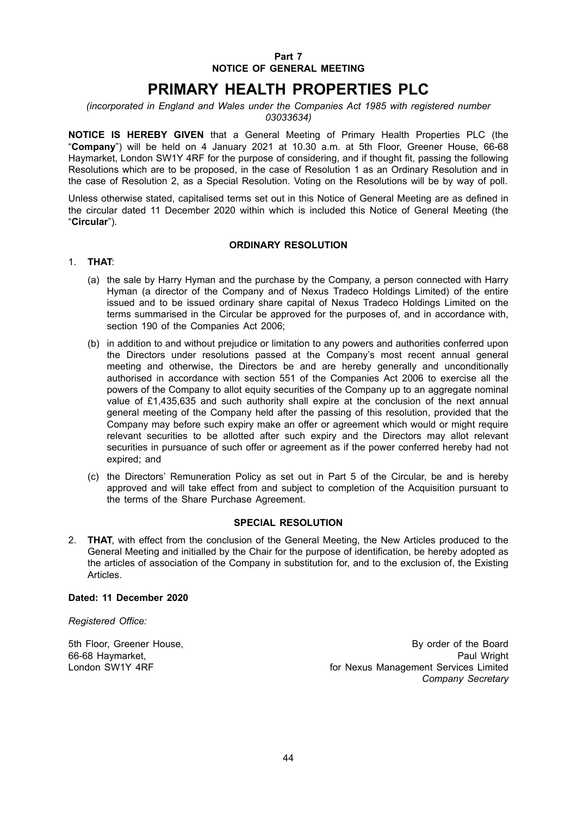#### **Part 7 NOTICE OF GENERAL MEETING**

# **PRIMARY HEALTH PROPERTIES PLC**

#### *(incorporated in England and Wales under the Companies Act 1985 with registered number 03033634)*

**NOTICE IS HEREBY GIVEN** that a General Meeting of Primary Health Properties PLC (the "**Company**") will be held on 4 January 2021 at 10.30 a.m. at 5th Floor, Greener House, 66-68 Haymarket, London SW1Y 4RF for the purpose of considering, and if thought fit, passing the following Resolutions which are to be proposed, in the case of Resolution 1 as an Ordinary Resolution and in the case of Resolution 2, as a Special Resolution. Voting on the Resolutions will be by way of poll.

Unless otherwise stated, capitalised terms set out in this Notice of General Meeting are as defined in the circular dated 11 December 2020 within which is included this Notice of General Meeting (the "**Circular**").

#### **ORDINARY RESOLUTION**

#### 1. **THAT**:

- (a) the sale by Harry Hyman and the purchase by the Company, a person connected with Harry Hyman (a director of the Company and of Nexus Tradeco Holdings Limited) of the entire issued and to be issued ordinary share capital of Nexus Tradeco Holdings Limited on the terms summarised in the Circular be approved for the purposes of, and in accordance with, section 190 of the Companies Act 2006;
- (b) in addition to and without prejudice or limitation to any powers and authorities conferred upon the Directors under resolutions passed at the Company's most recent annual general meeting and otherwise, the Directors be and are hereby generally and unconditionally authorised in accordance with section 551 of the Companies Act 2006 to exercise all the powers of the Company to allot equity securities of the Company up to an aggregate nominal value of £1,435,635 and such authority shall expire at the conclusion of the next annual general meeting of the Company held after the passing of this resolution, provided that the Company may before such expiry make an offer or agreement which would or might require relevant securities to be allotted after such expiry and the Directors may allot relevant securities in pursuance of such offer or agreement as if the power conferred hereby had not expired; and
- (c) the Directors' Remuneration Policy as set out in Part 5 of the Circular, be and is hereby approved and will take effect from and subject to completion of the Acquisition pursuant to the terms of the Share Purchase Agreement.

#### **SPECIAL RESOLUTION**

2. **THAT**, with effect from the conclusion of the General Meeting, the New Articles produced to the General Meeting and initialled by the Chair for the purpose of identification, be hereby adopted as the articles of association of the Company in substitution for, and to the exclusion of, the Existing Articles.

#### **Dated: 11 December 2020**

*Registered Office:*

66-68 Haymarket,<br>London SW1Y 4RF

5th Floor, Greener House,<br>66-68 Havmarket. By order of the Board<br>Paul Wright for Nexus Management Services Limited *Company Secretary*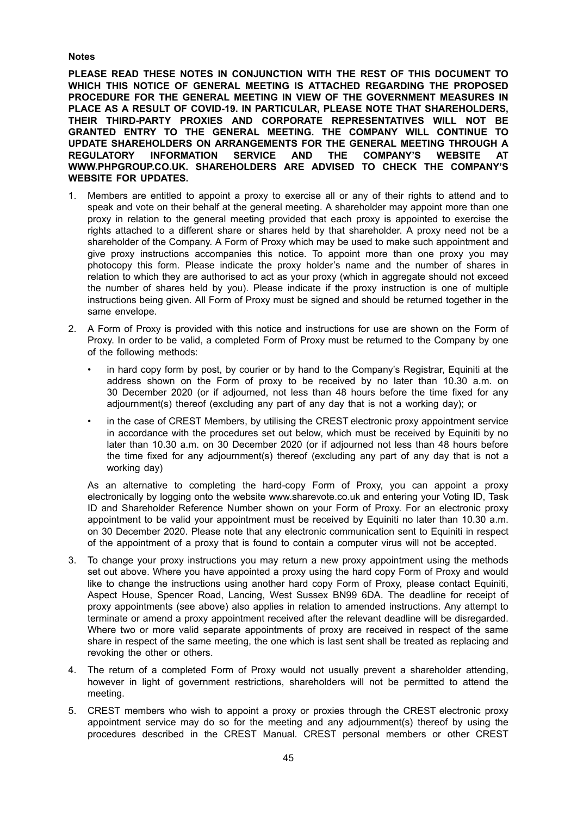#### **Notes**

**PLEASE READ THESE NOTES IN CONJUNCTION WITH THE REST OF THIS DOCUMENT TO WHICH THIS NOTICE OF GENERAL MEETING IS ATTACHED REGARDING THE PROPOSED PROCEDURE FOR THE GENERAL MEETING IN VIEW OF THE GOVERNMENT MEASURES IN PLACE AS A RESULT OF COVID-19. IN PARTICULAR, PLEASE NOTE THAT SHAREHOLDERS, THEIR THIRD-PARTY PROXIES AND CORPORATE REPRESENTATIVES WILL NOT BE GRANTED ENTRY TO THE GENERAL MEETING. THE COMPANY WILL CONTINUE TO UPDATE SHAREHOLDERS ON ARRANGEMENTS FOR THE GENERAL MEETING THROUGH A REGULATORY INFORMATION SERVICE AND THE COMPANY'S WEBSITE AT WWW.PHPGROUP.CO.UK. SHAREHOLDERS ARE ADVISED TO CHECK THE COMPANY'S WEBSITE FOR UPDATES.**

- 1. Members are entitled to appoint a proxy to exercise all or any of their rights to attend and to speak and vote on their behalf at the general meeting. A shareholder may appoint more than one proxy in relation to the general meeting provided that each proxy is appointed to exercise the rights attached to a different share or shares held by that shareholder. A proxy need not be a shareholder of the Company. A Form of Proxy which may be used to make such appointment and give proxy instructions accompanies this notice. To appoint more than one proxy you may photocopy this form. Please indicate the proxy holder's name and the number of shares in relation to which they are authorised to act as your proxy (which in aggregate should not exceed the number of shares held by you). Please indicate if the proxy instruction is one of multiple instructions being given. All Form of Proxy must be signed and should be returned together in the same envelope.
- 2. A Form of Proxy is provided with this notice and instructions for use are shown on the Form of Proxy. In order to be valid, a completed Form of Proxy must be returned to the Company by one of the following methods:
	- in hard copy form by post, by courier or by hand to the Company's Registrar, Equiniti at the address shown on the Form of proxy to be received by no later than 10.30 a.m. on 30 December 2020 (or if adjourned, not less than 48 hours before the time fixed for any adjournment(s) thereof (excluding any part of any day that is not a working day); or
	- in the case of CREST Members, by utilising the CREST electronic proxy appointment service in accordance with the procedures set out below, which must be received by Equiniti by no later than 10.30 a.m. on 30 December 2020 (or if adjourned not less than 48 hours before the time fixed for any adjournment(s) thereof (excluding any part of any day that is not a working day)

As an alternative to completing the hard-copy Form of Proxy, you can appoint a proxy electronically by logging onto the website www.sharevote.co.uk and entering your Voting ID, Task ID and Shareholder Reference Number shown on your Form of Proxy. For an electronic proxy appointment to be valid your appointment must be received by Equiniti no later than 10.30 a.m. on 30 December 2020. Please note that any electronic communication sent to Equiniti in respect of the appointment of a proxy that is found to contain a computer virus will not be accepted.

- 3. To change your proxy instructions you may return a new proxy appointment using the methods set out above. Where you have appointed a proxy using the hard copy Form of Proxy and would like to change the instructions using another hard copy Form of Proxy, please contact Equiniti, Aspect House, Spencer Road, Lancing, West Sussex BN99 6DA. The deadline for receipt of proxy appointments (see above) also applies in relation to amended instructions. Any attempt to terminate or amend a proxy appointment received after the relevant deadline will be disregarded. Where two or more valid separate appointments of proxy are received in respect of the same share in respect of the same meeting, the one which is last sent shall be treated as replacing and revoking the other or others.
- 4. The return of a completed Form of Proxy would not usually prevent a shareholder attending, however in light of government restrictions, shareholders will not be permitted to attend the meeting.
- 5. CREST members who wish to appoint a proxy or proxies through the CREST electronic proxy appointment service may do so for the meeting and any adjournment(s) thereof by using the procedures described in the CREST Manual. CREST personal members or other CREST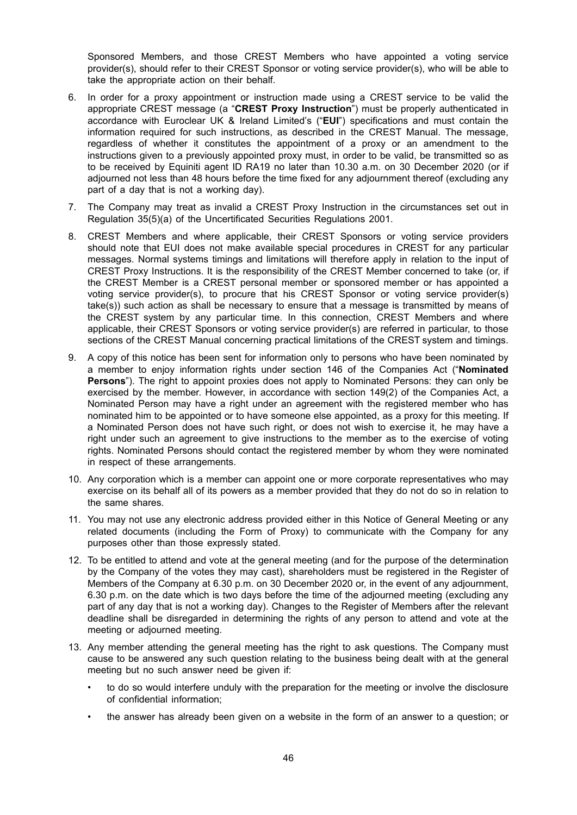Sponsored Members, and those CREST Members who have appointed a voting service provider(s), should refer to their CREST Sponsor or voting service provider(s), who will be able to take the appropriate action on their behalf.

- 6. In order for a proxy appointment or instruction made using a CREST service to be valid the appropriate CREST message (a "**CREST Proxy Instruction**") must be properly authenticated in accordance with Euroclear UK & Ireland Limited's ("**EUI**") specifications and must contain the information required for such instructions, as described in the CREST Manual. The message, regardless of whether it constitutes the appointment of a proxy or an amendment to the instructions given to a previously appointed proxy must, in order to be valid, be transmitted so as to be received by Equiniti agent ID RA19 no later than 10.30 a.m. on 30 December 2020 (or if adjourned not less than 48 hours before the time fixed for any adjournment thereof (excluding any part of a day that is not a working day).
- 7. The Company may treat as invalid a CREST Proxy Instruction in the circumstances set out in Regulation 35(5)(a) of the Uncertificated Securities Regulations 2001.
- 8. CREST Members and where applicable, their CREST Sponsors or voting service providers should note that EUI does not make available special procedures in CREST for any particular messages. Normal systems timings and limitations will therefore apply in relation to the input of CREST Proxy Instructions. It is the responsibility of the CREST Member concerned to take (or, if the CREST Member is a CREST personal member or sponsored member or has appointed a voting service provider(s), to procure that his CREST Sponsor or voting service provider(s) take(s)) such action as shall be necessary to ensure that a message is transmitted by means of the CREST system by any particular time. In this connection, CREST Members and where applicable, their CREST Sponsors or voting service provider(s) are referred in particular, to those sections of the CREST Manual concerning practical limitations of the CREST system and timings.
- 9. A copy of this notice has been sent for information only to persons who have been nominated by a member to enjoy information rights under section 146 of the Companies Act ("**Nominated Persons**"). The right to appoint proxies does not apply to Nominated Persons: they can only be exercised by the member. However, in accordance with section 149(2) of the Companies Act, a Nominated Person may have a right under an agreement with the registered member who has nominated him to be appointed or to have someone else appointed, as a proxy for this meeting. If a Nominated Person does not have such right, or does not wish to exercise it, he may have a right under such an agreement to give instructions to the member as to the exercise of voting rights. Nominated Persons should contact the registered member by whom they were nominated in respect of these arrangements.
- 10. Any corporation which is a member can appoint one or more corporate representatives who may exercise on its behalf all of its powers as a member provided that they do not do so in relation to the same shares.
- 11. You may not use any electronic address provided either in this Notice of General Meeting or any related documents (including the Form of Proxy) to communicate with the Company for any purposes other than those expressly stated.
- 12. To be entitled to attend and vote at the general meeting (and for the purpose of the determination by the Company of the votes they may cast), shareholders must be registered in the Register of Members of the Company at 6.30 p.m. on 30 December 2020 or, in the event of any adjournment, 6.30 p.m. on the date which is two days before the time of the adjourned meeting (excluding any part of any day that is not a working day). Changes to the Register of Members after the relevant deadline shall be disregarded in determining the rights of any person to attend and vote at the meeting or adjourned meeting.
- 13. Any member attending the general meeting has the right to ask questions. The Company must cause to be answered any such question relating to the business being dealt with at the general meeting but no such answer need be given if:
	- to do so would interfere unduly with the preparation for the meeting or involve the disclosure of confidential information;
	- the answer has already been given on a website in the form of an answer to a question; or